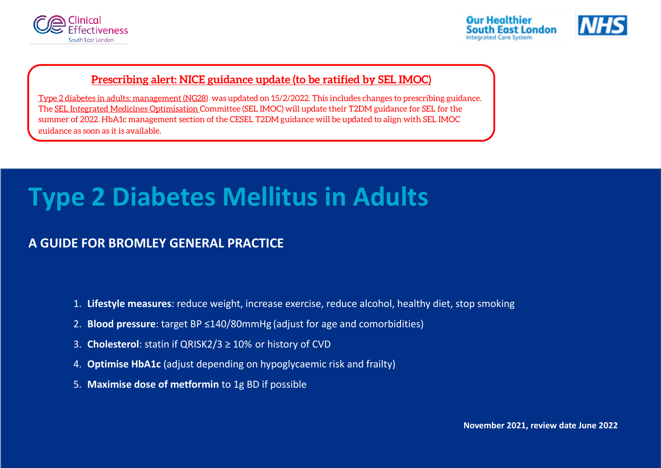





### **[Prescribing alert: NICE guidance update \(to be ratified by SEL IMOC\)](https://www.nice.org.uk/guidance/ng28)**

[Type 2 diabetes in adults: management \(NG28\)](https://www.nice.org.uk/guidance/ng28) was updated on 15/2/2022. This includes changes to prescribing guidance. Th[e SEL Integrated Medicines Optimisation C](https://selondonccg.nhs.uk/what-we-do/medicines-optimisation/south-east-london-integrated-medicines-optimisation-committee-sel-imoc/)ommittee (SEL IMOC) will update their T2DM guidance for SEL for the summer of 2022. HbA1c management section of the CESEL T2DM guidance will be updated to align with SEL IMOC guidance as soon as it is available.

# **Type 2 Diabetes Mellitus in Adults**

## **A GUIDE FOR BROMLEY GENERAL PRACTICE**

- 1. **Lifestyle measures**: reduce weight, increase exercise, reduce alcohol, healthy diet, stop smoking
- 2. **Blood pressure**: target BP ≤140/80mmHg (adjust for age and comorbidities)
- 3. **Cholesterol**: statin if QRISK2/3 ≥ 10% or history of CVD
- 4. **Optimise HbA1c** (adjust depending on hypoglycaemic risk and frailty)
- 5. **Maximise dose of metformin** to 1g BD if possible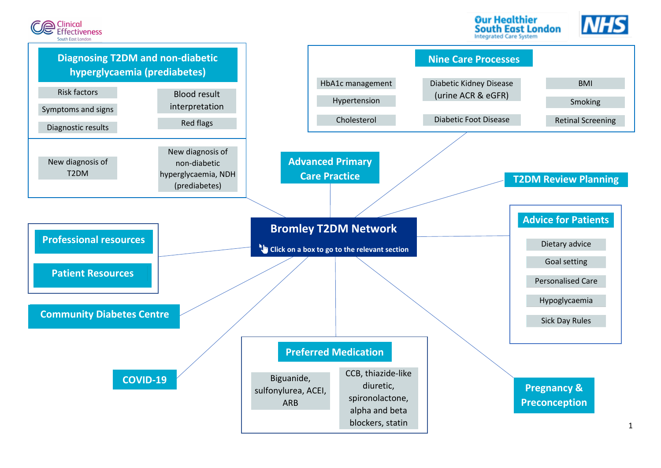

**Our Healthier South East London Integrated Care System** 



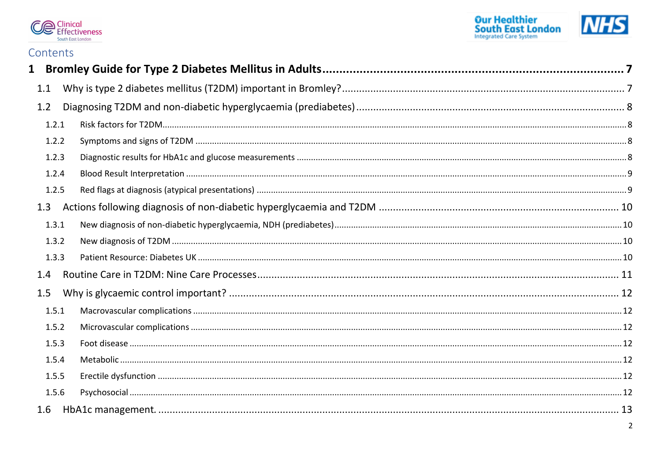



### Contents

| $\mathbf{1}$ |       |   |
|--------------|-------|---|
| 1.1          |       |   |
| 1.2          |       |   |
|              | 1.2.1 |   |
|              | 1.2.2 |   |
|              | 1.2.3 |   |
|              | 1.2.4 |   |
|              | 1.2.5 |   |
| 1.3          |       |   |
|              | 1.3.1 |   |
|              | 1.3.2 |   |
|              | 1.3.3 |   |
| 1.4          |       |   |
| 1.5          |       |   |
|              | 1.5.1 |   |
|              | 1.5.2 |   |
|              | 1.5.3 |   |
|              | 1.5.4 |   |
|              | 1.5.5 |   |
|              | 1.5.6 |   |
| 1.6          |       |   |
|              |       | 2 |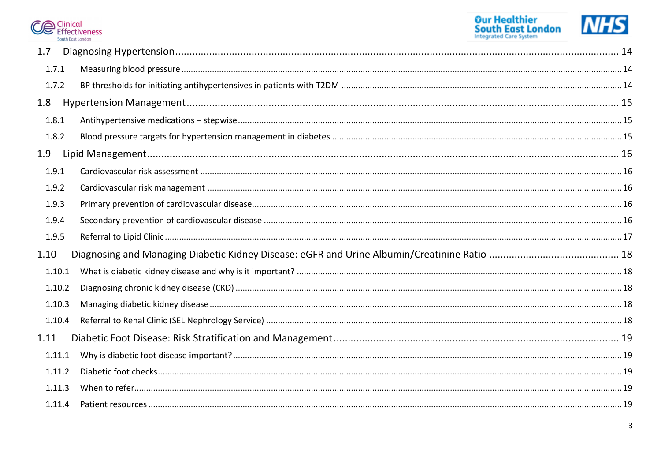



| 1.7    |  |
|--------|--|
| 1.7.1  |  |
| 1.7.2  |  |
| 1.8    |  |
| 1.8.1  |  |
| 1.8.2  |  |
| 1.9    |  |
| 1.9.1  |  |
| 1.9.2  |  |
| 1.9.3  |  |
| 1.9.4  |  |
|        |  |
| 1.9.5  |  |
| 1.10   |  |
| 1.10.1 |  |
| 1.10.2 |  |
| 1.10.3 |  |
| 1.10.4 |  |
| 1.11   |  |
| 1.11.1 |  |
| 1.11.2 |  |
| 1.11.3 |  |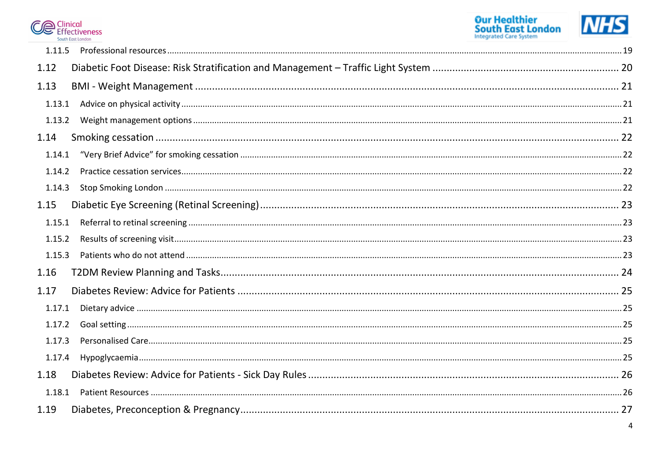



| 1.11.5 |  |
|--------|--|
| 1.12   |  |
| 1.13   |  |
| 1.13.1 |  |
| 1.13.2 |  |
| 1.14   |  |
| 1.14.1 |  |
| 1.14.2 |  |
| 1.14.3 |  |
| 1.15   |  |
| 1.15.1 |  |
| 1.15.2 |  |
| 1.15.3 |  |
| 1.16   |  |
| 1.17   |  |
| 1.17.1 |  |
| 1.17.2 |  |
| 1.17.3 |  |
| 1.17.4 |  |
| 1.18   |  |
| 1.18.1 |  |
| 1.19   |  |
|        |  |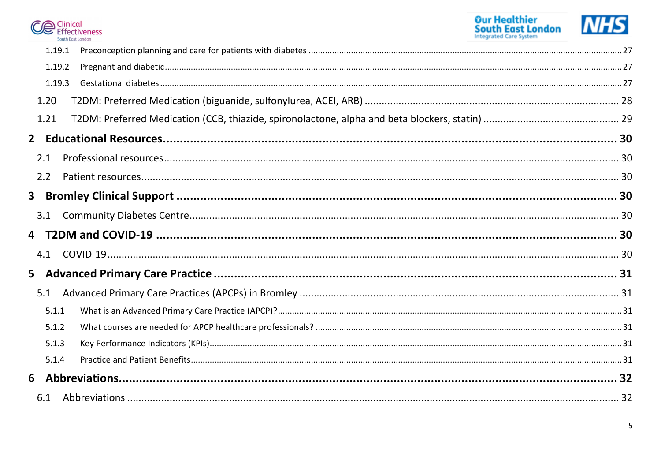



| 1.19.1 |  |
|--------|--|
| 1.19.2 |  |
| 1.19.3 |  |
| 1.20   |  |
| 1.21   |  |
|        |  |
| 2.1    |  |
| 2.2    |  |
|        |  |
| 3.1    |  |
|        |  |
|        |  |
| 4.1    |  |
|        |  |
| 5.1    |  |
| 5.1.1  |  |
| 5.1.2  |  |
| 5.1.3  |  |
| 5.1.4  |  |
|        |  |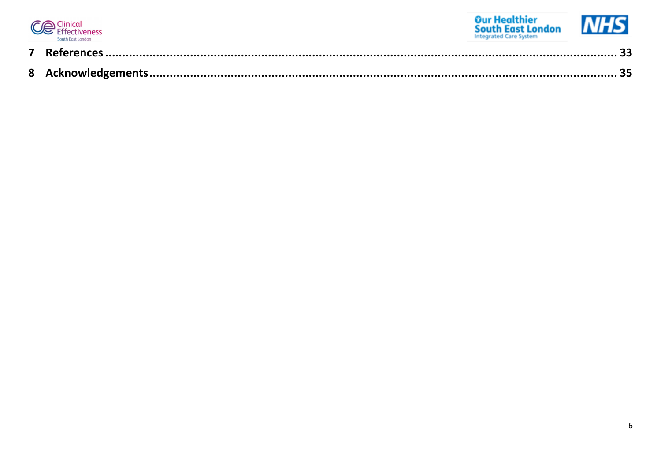

o a

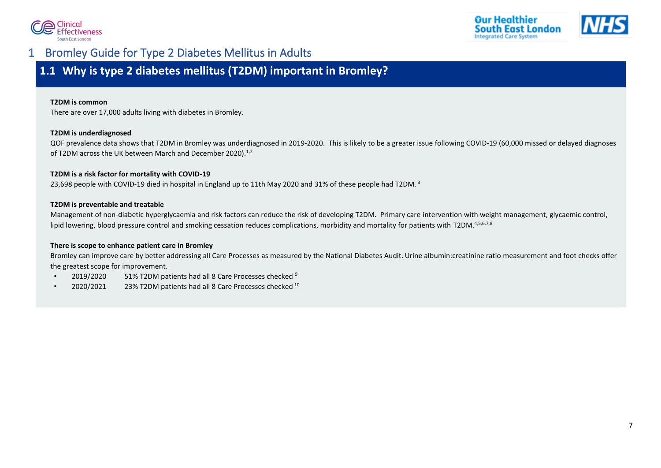



## <span id="page-7-0"></span>1 Bromley Guide for Type 2 Diabetes Mellitus in Adults

## <span id="page-7-1"></span>**1.1 Why is type 2 diabetes mellitus (T2DM) important in Bromley?**

#### **T2DM is common**

There are over 17,000 adults living with diabetes in Bromley.

#### **T2DM is underdiagnosed**

QOF prevalence data shows that T2DM in Bromley was underdiagnosed in 2019-2020. This is likely to be a greater issue following COVID-19 (60,000 missed or delayed diagnoses of T2DM across the UK between March and December 2020).<sup>[1,](#page-33-1)[2](#page-33-2)</sup>

#### **T2DM is a risk factor for mortality with COVID-19**

2[3](#page-33-3),698 people with COVID-19 died in hospital in England up to 11th May 2020 and 31% of these people had T2DM.<sup>3</sup>

#### **T2DM is preventable and treatable**

Management of non-diabetic hyperglycaemia and risk factors can reduce the risk of developing T2DM. Primary care intervention with weight management, glycaemic control, lipid lowering, blood pressure control and smoking cessation reduces complications, morbidity and mortality for patients with T2DM.<sup>[4,](#page-33-4)[5,](#page-33-5)[6,](#page-33-6)[7,](#page-33-7)[8](#page-33-8)</sup>

#### **There is scope to enhance patient care in Bromley**

Bromley can improve care by better addressing all Care Processes as measured by the National Diabetes Audit. Urine albumin:creatinine ratio measurement and foot checks offer the greatest scope for improvement.

- 2019/2020 51% T2DM patients had all 8 Care Processes checked [9](#page-33-9)
- 2020/2021 23% T2DM patients had all 8 Care Processes checked [10](#page-33-10)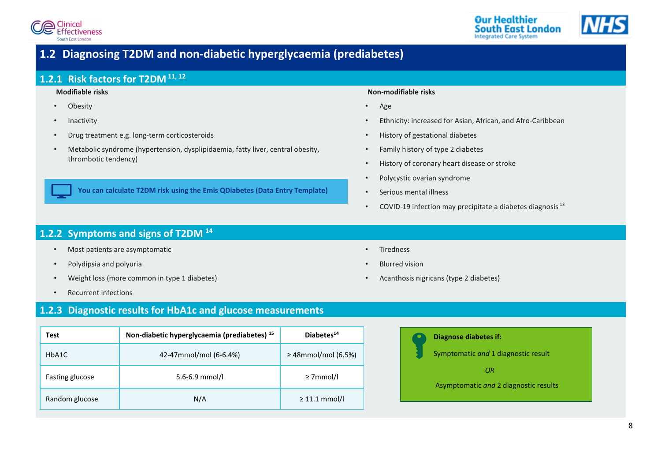





## <span id="page-8-3"></span>**1.2 Diagnosing T2DM and non-diabetic hyperglycaemia (prediabetes)**

### <span id="page-8-0"></span>**1.2.1 Risk factors for T2DM [11,](#page-33-11) [12](#page-33-12)**

#### **Modifiable risks**

- Obesity
- **Inactivity**
- Drug treatment e.g. long-term corticosteroids
- Metabolic syndrome (hypertension, dysplipidaemia, fatty liver, central obesity, thrombotic tendency)

**You can calculate T2DM risk using the Emis QDiabetes (Data Entry Template)**

#### **Non-modifiable risks**

- Age
- Ethnicity: increased for Asian, African, and Afro-Caribbean
- History of gestational diabetes
- Family history of type 2 diabetes
- History of coronary heart disease or stroke

• Acanthosis nigricans (type 2 diabetes)

- Polycystic ovarian syndrome
- Serious mental illness

• Tiredness

• Blurred vision

• COVID-19 infection may precipitate a diabetes diagnosis  $13$ 

### <span id="page-8-1"></span>**1.2.2 Symptoms and signs of T2DM [14](#page-33-14)**

- Most patients are asymptomatic
- Polydipsia and polyuria
- Weight loss (more common in type 1 diabetes)
- Recurrent infections

### <span id="page-8-2"></span>**1.2.3 Diagnostic results for HbA1c and glucose measurements**

| Test            | Non-diabetic hyperglycaemia (prediabetes) <sup>15</sup> | Diabetes <sup>14</sup>   |
|-----------------|---------------------------------------------------------|--------------------------|
| HbA1C           | 42-47mmol/mol (6-6.4%)                                  | $\geq$ 48mmol/mol (6.5%) |
| Fasting glucose | $5.6 - 6.9$ mmol/l                                      | $\geq$ 7mmol/l           |
| Random glucose  | N/A                                                     | $\geq$ 11.1 mmol/l       |

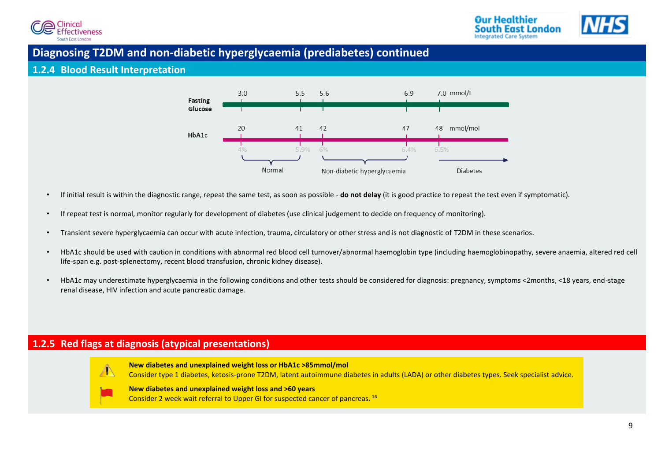



### **Diagnosing T2DM and non-diabetic hyperglycaemia (prediabetes) continued**

### <span id="page-9-1"></span>**1.2.4 Blood Result Interpretation**



- If initial result is within the diagnostic range, repeat the same test, as soon as possible **do not delay** (it is good practice to repeat the test even if symptomatic).
- If repeat test is normal, monitor regularly for development of diabetes (use clinical judgement to decide on frequency of monitoring).
- Transient severe hyperglycaemia can occur with acute infection, trauma, circulatory or other stress and is not diagnostic of T2DM in these scenarios.
- HbA1c should be used with caution in conditions with abnormal red blood cell turnover/abnormal haemoglobin type (including haemoglobinopathy, severe anaemia, altered red cell life-span e.g. post-splenectomy, recent blood transfusion, chronic kidney disease).
- HbA1c may underestimate hyperglycaemia in the following conditions and other tests should be considered for diagnosis: pregnancy, symptoms <2months, <18 years, end-stage renal disease, HIV infection and acute pancreatic damage.

### <span id="page-9-0"></span>**1.2.5 Red flags at diagnosis (atypical presentations)**



**New diabetes and unexplained weight loss or HbA1c >85mmol/mol**  Consider type 1 diabetes, ketosis-prone T2DM, latent autoimmune diabetes in adults (LADA) or other diabetes types. Seek specialist advice.

#### **New diabetes and unexplained weight loss and >60 years**

Consider 2 week wait referral to Upper GI for suspected cancer of pancreas. [16](#page-33-16)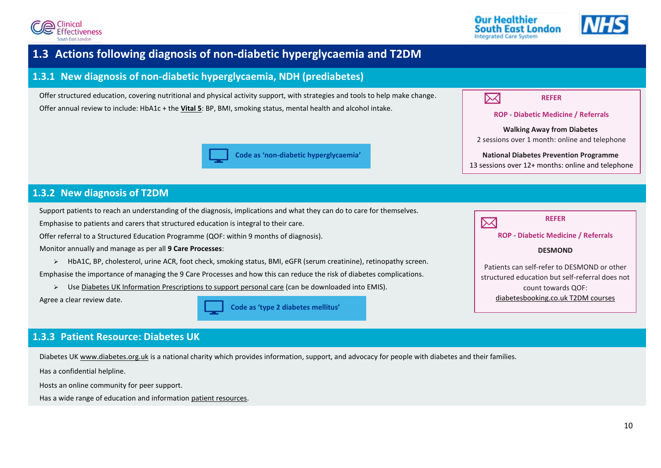





## <span id="page-10-2"></span>**1.3 Actions following diagnosis of non-diabetic hyperglycaemia and T2DM**

### <span id="page-10-0"></span>**1.3.1 New diagnosis of non-diabetic hyperglycaemia, NDH (prediabetes)**

Offer structured education, covering nutritional and physical activity support, with strategies and tools to help make change. Offer annual review to include: HbA1c + the **[Vital 5](https://www.kingshealthpartners.org/our-work/value/vital-5)**: BP, BMI, smoking status, mental health and alcohol intake.





#### **National Diabetes Prevention Programme**

13 sessions over 12+ months: online and telephone

### <span id="page-10-1"></span>**1.3.2 New diagnosis of T2DM**

Support patients to reach an understanding of the diagnosis, implications and what they can do to care for themselves.

Emphasise to patients and carers that structured education is integral to their care.

Offer referral to a Structured Education Programme (QOF: within 9 months of diagnosis).

Monitor annually and manage as per all **9 Care Processes**:

➢ HbA1C, BP, cholesterol, urine ACR, foot check, smoking status, BMI, eGFR (serum creatinine), retinopathy screen.

Emphasise the importance of managing the 9 Care Processes and how this can reduce the risk of diabetes complications.

➢ Use [Diabetes UK Information Prescriptions to support personal care](https://www.diabetes.org.uk/professionals/resources/resources-to-improve-your-clinical-practice/information-prescriptions-qa) (can be downloaded into EMIS).

Agree a clear review date.

**Code as 'type 2 diabetes mellitus'**



**REFER**

**ROP - Diabetic Medicine / Referrals**

#### **DESMOND**

Patients can self-refer to DESMOND or other structured education but self-referral does not count towards QOF: [diabetesbooking.co.uk T2DM courses](https://diabetesbooking.co.uk/our-courses/type-2-diabetes-courses)

### <span id="page-10-3"></span>**1.3.3 Patient Resource: Diabetes UK**

Diabetes UK [www.diabetes.org.uk](http://www.diabetes.org.uk/) is a national charity which provides information, support, and advocacy for people with diabetes and their families.

Has a confidential helpline.

Hosts an online community for peer support.

Has a wide range of education and information [patient resources.](https://www.diabetes.org.uk/professionals/information-support-for-your-patients/education-information)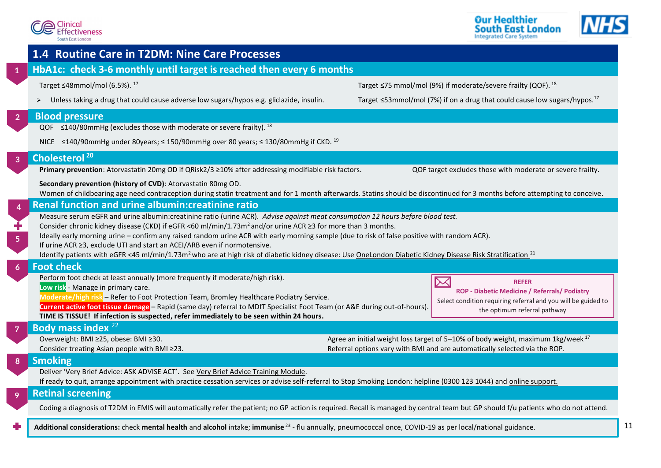<span id="page-11-0"></span>



<span id="page-11-1"></span>

|                  | 1.4 Routine Care in T2DM: Nine Care Processes                                                                                                                                                                                                                                                                                                                                                                                                                                                                                              |                                                                                                                                                                            |
|------------------|--------------------------------------------------------------------------------------------------------------------------------------------------------------------------------------------------------------------------------------------------------------------------------------------------------------------------------------------------------------------------------------------------------------------------------------------------------------------------------------------------------------------------------------------|----------------------------------------------------------------------------------------------------------------------------------------------------------------------------|
| $\mathbf{1}$     | HbA1c: check 3-6 monthly until target is reached then every 6 months                                                                                                                                                                                                                                                                                                                                                                                                                                                                       |                                                                                                                                                                            |
|                  | Target ≤48mmol/mol (6.5%). <sup>17</sup>                                                                                                                                                                                                                                                                                                                                                                                                                                                                                                   | Target ≤75 mmol/mol (9%) if moderate/severe frailty (QOF). <sup>18</sup>                                                                                                   |
|                  | Unless taking a drug that could cause adverse low sugars/hypos e.g. gliclazide, insulin.                                                                                                                                                                                                                                                                                                                                                                                                                                                   | Target ≤53mmol/mol (7%) if on a drug that could cause low sugars/hypos. <sup>17</sup>                                                                                      |
| $\overline{2}$   | <b>Blood pressure</b>                                                                                                                                                                                                                                                                                                                                                                                                                                                                                                                      |                                                                                                                                                                            |
|                  | QOF $\leq$ 140/80mmHg (excludes those with moderate or severe frailty). <sup>18</sup><br>NICE ≤140/90mmHg under 80years; ≤ 150/90mmHg over 80 years; ≤ 130/80mmHg if CKD. 19                                                                                                                                                                                                                                                                                                                                                               |                                                                                                                                                                            |
| $\overline{3}$   | Cholesterol <sup>20</sup>                                                                                                                                                                                                                                                                                                                                                                                                                                                                                                                  |                                                                                                                                                                            |
|                  | Primary prevention: Atorvastatin 20mg OD if QRisk2/3 ≥10% after addressing modifiable risk factors.                                                                                                                                                                                                                                                                                                                                                                                                                                        | QOF target excludes those with moderate or severe frailty.                                                                                                                 |
|                  | Secondary prevention (history of CVD): Atorvastatin 80mg OD.                                                                                                                                                                                                                                                                                                                                                                                                                                                                               |                                                                                                                                                                            |
| $\overline{4}$   | Women of childbearing age need contraception during statin treatment and for 1 month afterwards. Statins should be discontinued for 3 months before attempting to conceive.<br><b>Renal function and urine albumin: creatinine ratio</b>                                                                                                                                                                                                                                                                                                   |                                                                                                                                                                            |
| ╋<br>$\sqrt{5}$  | Consider chronic kidney disease (CKD) if eGFR <60 ml/min/1.73m <sup>2</sup> and/or urine ACR ≥3 for more than 3 months.<br>Ideally early morning urine - confirm any raised random urine ACR with early morning sample (due to risk of false positive with random ACR).<br>If urine ACR ≥3, exclude UTI and start an ACEI/ARB even if normotensive.<br>Identify patients with eGFR <45 ml/min/1.73m <sup>2</sup> who are at high risk of diabetic kidney disease: Use OneLondon Diabetic Kidney Disease Risk Stratification. <sup>21</sup> |                                                                                                                                                                            |
| $\boldsymbol{6}$ | <b>Foot check</b>                                                                                                                                                                                                                                                                                                                                                                                                                                                                                                                          |                                                                                                                                                                            |
|                  | Perform foot check at least annually (more frequently if moderate/high risk).<br>Low risk - Manage in primary care.<br>Moderate/high risk - Refer to Foot Protection Team, Bromley Healthcare Podiatry Service.<br>Current active foot tissue damage - Rapid (same day) referral to MDfT Specialist Foot Team (or A&E during out-of-hours).<br>TIME IS TISSUE! If infection is suspected, refer immediately to be seen within 24 hours.                                                                                                    | ⋉<br><b>REFER</b><br><b>ROP - Diabetic Medicine / Referrals/ Podiatry</b><br>Select condition requiring referral and you will be guided to<br>the optimum referral pathway |
| $\overline{7}$   | Body mass index 22                                                                                                                                                                                                                                                                                                                                                                                                                                                                                                                         |                                                                                                                                                                            |
|                  | Overweight: BMI ≥25, obese: BMI ≥30.<br>Consider treating Asian people with BMI ≥23.                                                                                                                                                                                                                                                                                                                                                                                                                                                       | Agree an initial weight loss target of 5-10% of body weight, maximum 1kg/week <sup>17</sup><br>Referral options vary with BMI and are automatically selected via the ROP.  |
| 8                | <b>Smoking</b>                                                                                                                                                                                                                                                                                                                                                                                                                                                                                                                             |                                                                                                                                                                            |
|                  | Deliver 'Very Brief Advice: ASK ADVISE ACT'. See Very Brief Advice Training Module.<br>If ready to quit, arrange appointment with practice cessation services or advise self-referral to Stop Smoking London: helpline (0300 123 1044) and online support.                                                                                                                                                                                                                                                                                 |                                                                                                                                                                            |
| 9                | <b>Retinal screening</b>                                                                                                                                                                                                                                                                                                                                                                                                                                                                                                                   |                                                                                                                                                                            |
|                  | Coding a diagnosis of T2DM in EMIS will automatically refer the patient; no GP action is required. Recall is managed by central team but GP should f/u patients who do not attend.                                                                                                                                                                                                                                                                                                                                                         |                                                                                                                                                                            |
|                  | Additional considerations: check mental health and alcohol intake; immunise <sup>23</sup> - flu annually, pneumococcal once, COVID-19 as per local/national guidance.                                                                                                                                                                                                                                                                                                                                                                      |                                                                                                                                                                            |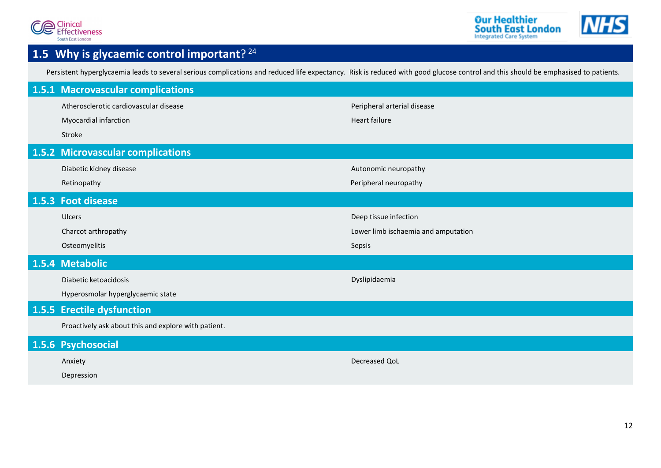

## <span id="page-12-0"></span>**1.5 Why is glycaemic control important**? [24](#page-34-7)

Persistent hyperglycaemia leads to several serious complications and reduced life expectancy. Risk is reduced with good glucose control and this should be emphasised to patients.

<span id="page-12-6"></span><span id="page-12-5"></span><span id="page-12-4"></span><span id="page-12-3"></span><span id="page-12-2"></span><span id="page-12-1"></span>

| 1.5.1 Macrovascular complications                    |                                     |
|------------------------------------------------------|-------------------------------------|
| Atherosclerotic cardiovascular disease               | Peripheral arterial disease         |
| Myocardial infarction                                | <b>Heart failure</b>                |
| Stroke                                               |                                     |
| 1.5.2 Microvascular complications                    |                                     |
| Diabetic kidney disease                              | Autonomic neuropathy                |
| Retinopathy                                          | Peripheral neuropathy               |
| 1.5.3 Foot disease                                   |                                     |
| Ulcers                                               | Deep tissue infection               |
| Charcot arthropathy                                  | Lower limb ischaemia and amputation |
| Osteomyelitis                                        | Sepsis                              |
| 1.5.4 Metabolic                                      |                                     |
| Diabetic ketoacidosis                                | Dyslipidaemia                       |
| Hyperosmolar hyperglycaemic state                    |                                     |
| 1.5.5 Erectile dysfunction                           |                                     |
| Proactively ask about this and explore with patient. |                                     |
| 1.5.6 Psychosocial                                   |                                     |
| Anxiety                                              | Decreased QoL                       |
| Depression                                           |                                     |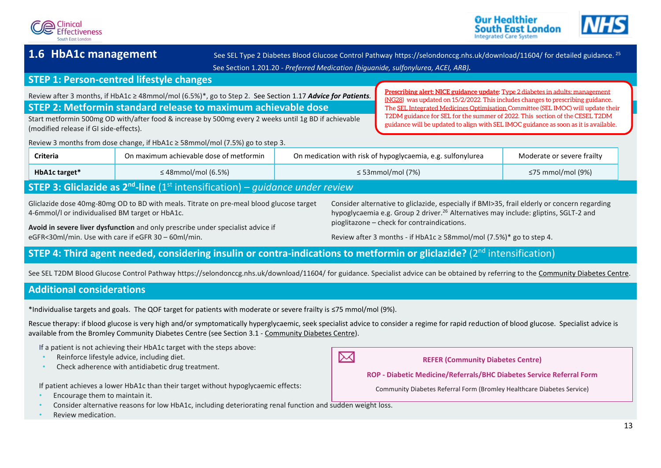



<span id="page-13-0"></span>1.6 HbA1c management See SEL Type 2 Diabetes Blood Glucose Control Pathwa[y https://selondonccg.nhs.uk/download/11604/](https://selondonccg.nhs.uk/download/11604/) for detailed guidance. <sup>[25](#page-34-8)</sup> See Section [1.201.20](#page-28-1) *- Preferred Medication [\(biguanide, sulfonylurea, ACEI, ARB\)](#page-28-0).*

### **STEP 1: Person-centred lifestyle changes**

Review after 3 months, if HbA1c ≥ 48mmol/mol (6.5%)\*, go to Step 2. See Section [1.17](#page-25-5) *[Advice for Patients](#page-25-1).*  **STEP 2: Metformin standard release to maximum achievable dose**

Start metformin 500mg OD with/after food & increase by 500mg every 2 weeks until 1g BD if achievable (modified release if GI side-effects).

<span id="page-13-1"></span>**[Prescribing alert: NICE guidance update:](https://www.nice.org.uk/guidance/ng28)** [Type 2 diabetes in adults: management](https://www.nice.org.uk/guidance/ng28)  [\(NG28\)](https://www.nice.org.uk/guidance/ng28) was updated on 15/2/2022. This includes changes to prescribing guidance. Th[e SEL Integrated Medicines Optimisation C](https://selondonccg.nhs.uk/what-we-do/medicines-optimisation/south-east-london-integrated-medicines-optimisation-committee-sel-imoc/)ommittee (SEL IMOC) will update their T2DM guidance for SEL for the summer of 2022. This section of the CESEL T2DM guidance will be updated to align with SEL IMOC guidance as soon as it is available.

Review 3 months from dose change, if HbA1c  $\geq$  58mmol/mol (7.5%) go to step 3.

| <b>Criteria</b>                                                                                                   | On maximum achievable dose of metformin | On medication with risk of hypoglycaemia, e.g. sulfonylurea | Moderate or severe frailty |  |  |
|-------------------------------------------------------------------------------------------------------------------|-----------------------------------------|-------------------------------------------------------------|----------------------------|--|--|
| HbA1c target*                                                                                                     | $\leq$ 48mmol/mol (6.5%)                | $\leq$ 53mmol/mol (7%)                                      | ≤75 mmol/mol (9%)          |  |  |
| <b>STEP 3: Gliclazide as 2<sup>nd</sup>-line</b> (1 <sup>st</sup> intensification) – <i>guidance under review</i> |                                         |                                                             |                            |  |  |

Gliclazide dose 40mg-80mg OD to BD with meals. Titrate on pre-meal blood glucose target 4-6mmol/l or individualised BM target or HbA1c.

**Avoid in severe liver dysfunction** and only prescribe under specialist advice if eGFR<30ml/min. Use with care if eGFR 30 – 60ml/min.

Consider alternative to gliclazide, especially if BMI>35, frail elderly or concern regarding hypoglycaemia e.g. Group 2 driver.<sup>[26](#page-34-9)</sup> Alternatives may include: gliptins, SGLT-2 and pioglitazone – check for contraindications.

Review after 3 months - if HbA1c  $\geq$  58mmol/mol (7.5%)\* go to step 4.

## **STEP 4: Third agent needed, considering insulin or contra-indications to metformin or gliclazide?** (2<sup>nd</sup> intensification)

See SEL T2DM Blood Glucose Control Pathway <https://selondonccg.nhs.uk/download/11604/> for guidance. Specialist advice can be obtained by referring to the [Community Diabetes Centre.](#page-30-2)

### **Additional considerations**

\*Individualise targets and goals. The QOF target for patients with moderate or severe frailty is ≤75 mmol/mol (9%).

Rescue therapy: if blood glucose is very high and/or symptomatically hyperglycaemic, seek specialist advice to consider a regime for rapid reduction of blood glucose. Specialist advice is available from the Bromley Community Diabetes Centre (see Section [3.1](#page-30-2) - [Community Diabetes Centre\)](#page-30-2).

If a patient is not achieving their HbA1c target with the steps above:  $\boxtimes$ • Reinforce lifestyle advice, including diet. **REFER (Community Diabetes Centre)** • Check adherence with antidiabetic drug treatment. **ROP - Diabetic Medicine/Referrals/BHC Diabetes Service Referral Form** If patient achieves a lower HbA1c than their target without hypoglycaemic effects: Community Diabetes Referral Form (Bromley Healthcare Diabetes Service) • Encourage them to maintain it. • Consider alternative reasons for low HbA1c, including deteriorating renal function and sudden weight loss.

• Review medication.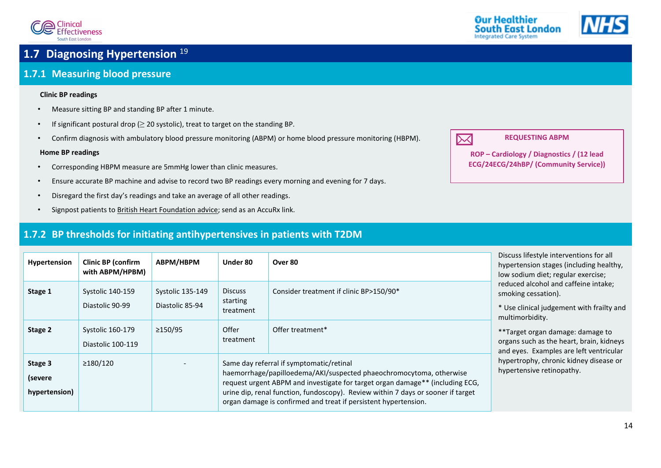

## <span id="page-14-1"></span>**1.7 Diagnosing Hypertension** [19](#page-34-2)

### <span id="page-14-2"></span>**1.7.1 Measuring blood pressure**

#### <span id="page-14-0"></span>**Clinic BP readings**

- Measure sitting BP and standing BP after 1 minute.
- If significant postural drop  $(≥ 20$  systolic), treat to target on the standing BP.
- Confirm diagnosis with ambulatory blood pressure monitoring (ABPM) or home blood pressure monitoring (HBPM).

#### **Home BP readings**

- Corresponding HBPM measure are 5mmHg lower than clinic measures.
- Ensure accurate BP machine and advise to record two BP readings every morning and evening for 7 days.
- Disregard the first day's readings and take an average of all other readings.
- Signpost patients t[o British Heart Foundation advice;](https://www.bhf.org.uk/informationsupport/support/manage-your-blood-pressure-at-home) send as an AccuRx link.

### <span id="page-14-3"></span>**1.7.2 BP thresholds for initiating antihypertensives in patients with T2DM**

| Hypertension                        | <b>Clinic BP (confirm</b><br>with ABPM/HPBM) | ABPM/HBPM                                  | Under 80                                | Over 80                                                                                                                                                                                                                                                                                                                                                 | Discuss lifestyle interventions for all<br>hypertension stages (including healthy,<br>low sodium diet; regular exercise;    |  |
|-------------------------------------|----------------------------------------------|--------------------------------------------|-----------------------------------------|---------------------------------------------------------------------------------------------------------------------------------------------------------------------------------------------------------------------------------------------------------------------------------------------------------------------------------------------------------|-----------------------------------------------------------------------------------------------------------------------------|--|
| Stage 1                             | <b>Systolic 140-159</b><br>Diastolic 90-99   | <b>Systolic 135-149</b><br>Diastolic 85-94 | <b>Discuss</b><br>starting<br>treatment | Consider treatment if clinic BP>150/90*                                                                                                                                                                                                                                                                                                                 | reduced alcohol and caffeine intake;<br>smoking cessation).<br>* Use clinical judgement with frailty and<br>multimorbidity. |  |
| Stage 2                             | <b>Systolic 160-179</b><br>Diastolic 100-119 | ≥150/95                                    | Offer<br>treatment                      | Offer treatment*                                                                                                                                                                                                                                                                                                                                        | **Target organ damage: damage to<br>organs such as the heart, brain, kidneys<br>and eyes. Examples are left ventricular     |  |
| Stage 3<br>(severe<br>hypertension) | ≥180/120                                     |                                            |                                         | Same day referral if symptomatic/retinal<br>haemorrhage/papilloedema/AKI/suspected phaeochromocytoma, otherwise<br>request urgent ABPM and investigate for target organ damage** (including ECG,<br>urine dip, renal function, fundoscopy). Review within 7 days or sooner if target<br>organ damage is confirmed and treat if persistent hypertension. | hypertrophy, chronic kidney disease or<br>hypertensive retinopathy.                                                         |  |



**REQUESTING ABPM**

**ROP – Cardiology / Diagnostics / (12 lead ECG/24ECG/24hBP/ (Community Service))**

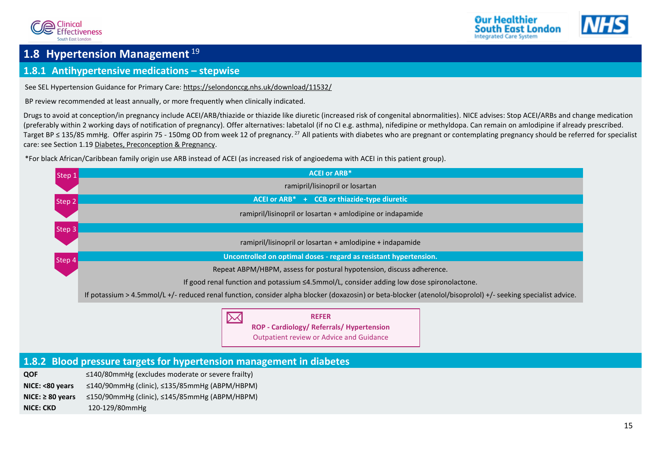





### <span id="page-15-0"></span>**1.8 Hypertension Management** [19](#page-34-2)

### <span id="page-15-1"></span>**1.8.1 Antihypertensive medications – stepwise**

See SEL Hypertension Guidance for Primary Care:<https://selondonccg.nhs.uk/download/11532/>

BP review recommended at least annually, or more frequently when clinically indicated.

Drugs to avoid at conception/in pregnancy include ACEI/ARB/thiazide or thiazide like diuretic (increased risk of congenital abnormalities). NICE advises: Stop ACEI/ARBs and change medication (preferably within 2 working days of notification of pregnancy). Offer alternatives: labetalol (if no CI e.g. asthma), nifedipine or methyldopa. Can remain on amlodipine if already prescribed. Target BP ≤ 135/85 mmHg. Offer aspirin 75 - 150mg OD from week 12 of pregnancy.<sup>[27](#page-34-10)</sup> All patients with diabetes who are pregnant or contemplating pregnancy should be referred for specialist care: see Section [1.19](#page-27-0) [Diabetes, Preconception & Pregnancy.](#page-27-0)

\*For black African/Caribbean family origin use ARB instead of ACEI (as increased risk of angioedema with ACEI in this patient group).

 $\boxtimes$ 



**REFER ROP - Cardiology/ Referrals/ Hypertension** Outpatient review or Advice and Guidance

### <span id="page-15-2"></span>**1.8.2 Blood pressure targets for hypertension management in diabetes**

| <b>QOF</b>            | $\leq$ 140/80mmHg (excludes moderate or severe frailty)   |
|-----------------------|-----------------------------------------------------------|
| NICE: <80 years       | ≤140/90mmHg (clinic), ≤135/85mmHg (ABPM/HBPM)             |
| $NICE: \geq 80$ vears | $\leq$ 150/90mmHg (clinic), $\leq$ 145/85mmHg (ABPM/HBPM) |
| <b>NICE: CKD</b>      | 120-129/80mmHg                                            |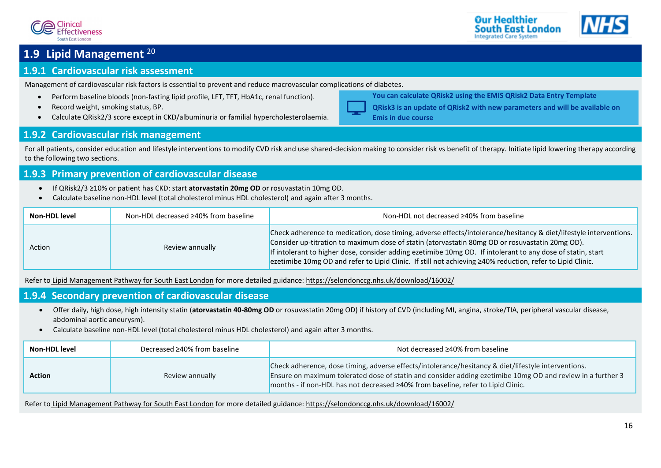



### <span id="page-16-0"></span>**1.9 Lipid Management** [20](#page-34-3)

### <span id="page-16-1"></span>**1.9.1 Cardiovascular risk assessment**

Management of cardiovascular risk factors is essential to prevent and reduce macrovascular complications of diabetes.

- Perform baseline bloods (non-fasting lipid profile, LFT, TFT, HbA1c, renal function).
- Record weight, smoking status, BP.
- Calculate QRisk2/3 score except in CKD/albuminuria or familial hypercholesterolaemia.

### <span id="page-16-2"></span>**1.9.2 Cardiovascular risk management**

For all patients, consider education and lifestyle interventions to modify CVD risk and use shared-decision making to consider risk vs benefit of therapy. Initiate lipid lowering therapy according to the following two sections.

### <span id="page-16-3"></span>**1.9.3 Primary prevention of cardiovascular disease**

- If QRisk2/3 ≥10% or patient has CKD: start **atorvastatin 20mg OD** or rosuvastatin 10mg OD.
- Calculate baseline non-HDL level (total cholesterol minus HDL cholesterol) and again after 3 months.

| <b>Non-HDL level</b> | Non-HDL decreased ≥40% from baseline | Non-HDL not decreased ≥40% from baseline                                                                                                                                                                                                                                                                                                                                                                                                          |
|----------------------|--------------------------------------|---------------------------------------------------------------------------------------------------------------------------------------------------------------------------------------------------------------------------------------------------------------------------------------------------------------------------------------------------------------------------------------------------------------------------------------------------|
| Action               | Review annually                      | Check adherence to medication, dose timing, adverse effects/intolerance/hesitancy & diet/lifestyle interventions.<br>Consider up-titration to maximum dose of statin (atorvastatin 80mg OD or rosuvastatin 20mg OD).<br>If intolerant to higher dose, consider adding ezetimibe 10mg OD. If intolerant to any dose of statin, start<br>ezetimibe 10mg OD and refer to Lipid Clinic. If still not achieving ≥40% reduction, refer to Lipid Clinic. |

Refer to [Lipid Management Pathway for South East London](https://selondonccg.nhs.uk/wp-content/uploads/dlm_uploads/2021/11/Lipid-management-SEL-pathways-Nov-21-FINAL.pdf) for more detailed guidance: <https://selondonccg.nhs.uk/download/16002/>

### <span id="page-16-4"></span>**1.9.4 Secondary prevention of cardiovascular disease**

- Offer daily, high dose, high intensity statin (**atorvastatin 40-80mg OD** or rosuvastatin 20mg OD) if history of CVD (including MI, angina, stroke/TIA, peripheral vascular disease, abdominal aortic aneurysm).
- Calculate baseline non-HDL level (total cholesterol minus HDL cholesterol) and again after 3 months.

| <b>Non-HDL level</b> | Decreased ≥40% from baseline | Not decreased ≥40% from baseline                                                                                                                                                                                                                                                                      |
|----------------------|------------------------------|-------------------------------------------------------------------------------------------------------------------------------------------------------------------------------------------------------------------------------------------------------------------------------------------------------|
| <b>Action</b>        | Review annually              | Check adherence, dose timing, adverse effects/intolerance/hesitancy & diet/lifestyle interventions.<br>Ensure on maximum tolerated dose of statin and consider adding ezetimibe 10mg OD and review in a further 3<br>months - if non-HDL has not decreased ≥40% from baseline, refer to Lipid Clinic. |

Refer to [Lipid Management Pathway for](https://selondonccg.nhs.uk/wp-content/uploads/dlm_uploads/2021/11/Lipid-management-SEL-pathways-Nov-21-FINAL.pdf) South East London for more detailed guidance[: https://selondonccg.nhs.uk/download/16002/](https://selondonccg.nhs.uk/download/16002/)



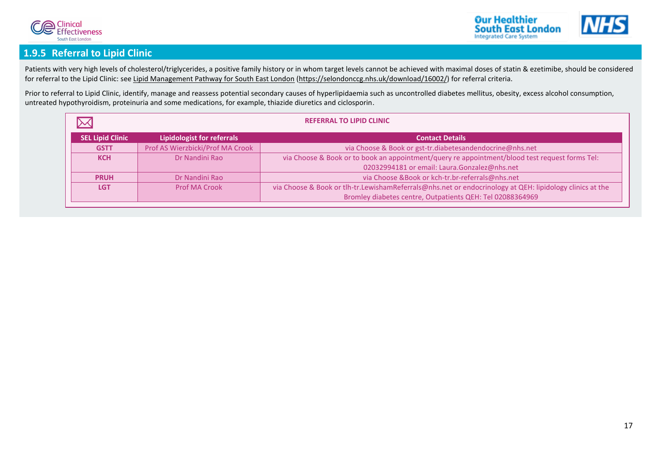



### <span id="page-17-0"></span>**1.9.5 Referral to Lipid Clinic**

Patients with very high levels of cholesterol/triglycerides, a positive family history or in whom target levels cannot be achieved with maximal doses of statin & ezetimibe, should be considered for referral to the Lipid Clinic: se[e Lipid Management Pathway for South East London](https://selondonccg.nhs.uk/wp-content/uploads/dlm_uploads/2021/11/Lipid-management-SEL-pathways-Nov-21-FINAL.pdf) [\(https://selondonccg.nhs.uk/download/16002/\)](https://selondonccg.nhs.uk/download/16002/) for referral criteria.

Prior to referral to Lipid Clinic, identify, manage and reassess potential secondary causes of hyperlipidaemia such as uncontrolled diabetes mellitus, obesity, excess alcohol consumption, untreated hypothyroidism, proteinuria and some medications, for example, thiazide diuretics and ciclosporin.

|                         | <b>REFERRAL TO LIPID CLINIC</b>                             |                                                                                                          |  |  |
|-------------------------|-------------------------------------------------------------|----------------------------------------------------------------------------------------------------------|--|--|
| <b>SEL Lipid Clinic</b> | <b>Lipidologist for referrals</b><br><b>Contact Details</b> |                                                                                                          |  |  |
| <b>GSTT</b>             | Prof AS Wierzbicki/Prof MA Crook                            | via Choose & Book or gst-tr.diabetesandendocrine@nhs.net                                                 |  |  |
| <b>KCH</b>              | Dr Nandini Rao                                              | via Choose & Book or to book an appointment/query re appointment/blood test request forms Tel:           |  |  |
|                         |                                                             | 02032994181 or email: Laura.Gonzalez@nhs.net                                                             |  |  |
| <b>PRUH</b>             | Dr Nandini Rao                                              | via Choose &Book or kch-tr.br-referrals@nhs.net                                                          |  |  |
| <b>LGT</b>              | Prof MA Crook                                               | via Choose & Book or tlh-tr.LewishamReferrals@nhs.net or endocrinology at QEH: lipidology clinics at the |  |  |
|                         |                                                             | Bromley diabetes centre, Outpatients QEH: Tel 02088364969                                                |  |  |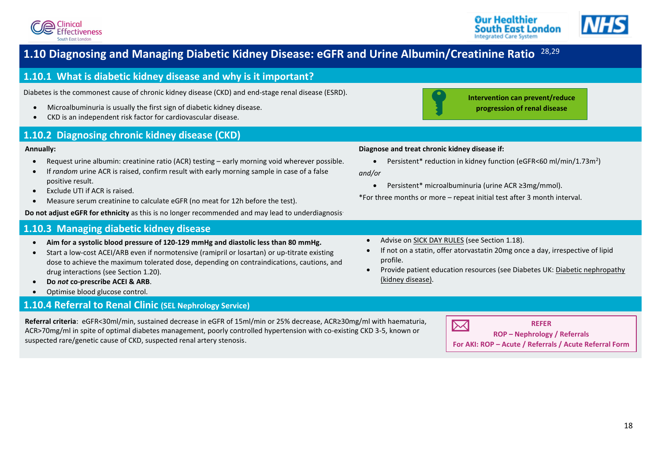<span id="page-18-0"></span>



## <span id="page-18-1"></span>**1.10 Diagnosing and Managing Diabetic Kidney Disease: eGFR and Urine Albumin/Creatinine Ratio** [28,](#page-34-11)[29](#page-34-12)

### <span id="page-18-2"></span>**1.10.1 What is diabetic kidney disease and why is it important?**

Diabetes is the commonest cause of chronic kidney disease (CKD) and end-stage renal disease (ESRD).

- Microalbuminuria is usually the first sign of diabetic kidney disease.
- <span id="page-18-3"></span>• CKD is an independent risk factor for cardiovascular disease.

### **1.10.2 Diagnosing chronic kidney disease (CKD)**

#### **Annually:**

- Request urine albumin: creatinine ratio (ACR) testing early morning void wherever possible.
- If *random* urine ACR is raised, confirm result with early morning sample in case of a false positive result.
- Exclude UTI if ACR is raised.
- Measure serum creatinine to calculate eGFR (no meat for 12h before the test).

**Do not adjust eGFR for ethnicity** as this is no longer recommended and may lead to underdiagnosis.

### **1.10.3 Managing diabetic kidney disease**

- <span id="page-18-4"></span>• **Aim for a systolic blood pressure of 120-129 mmHg and diastolic less than 80 mmHg.**
- Start a low-cost ACEI/ARB even if normotensive (ramipril or losartan) or up-titrate existing dose to achieve the maximum tolerated dose, depending on contraindications, cautions, and drug interactions (see Section [1.20\)](#page-28-1).
- **Do** *not* **co-prescribe ACEI & ARB**.
- <span id="page-18-5"></span>• Optimise blood glucose control.

### **1.10.4 Referral to Renal Clinic (SEL Nephrology Service)**

**Referral criteria**: eGFR<30ml/min, sustained decrease in eGFR of 15ml/min or 25% decrease, ACR≥30mg/ml with haematuria, ACR˃70mg/ml in spite of optimal diabetes management, poorly controlled hypertension with co-existing CKD 3-5, known or suspected rare/genetic cause of CKD, suspected renal artery stenosis.



**Intervention can prevent/reduce progression of renal disease**

#### **Diagnose and treat chronic kidney disease if:**

• Persistent\* reduction in kidney function (eGFR<60 ml/min/1.73m<sup>2</sup>)

*and/or*

• Persistent\* microalbuminuria (urine ACR ≥3mg/mmol).

\*For three months or more – repeat initial test after 3 month interval.

- Advise o[n SICK DAY RULES](#page-26-0) (see Sectio[n 1.18\)](#page-26-1).
- If not on a statin, offer atorvastatin 20mg once a day, irrespective of lipid profile.
- Provide patient education resources (see Diabetes UK: [Diabetic nephropathy](https://www.diabetes.org.uk/guide-to-diabetes/complications/kidneys_nephropathy)  [\(kidney disease\).](https://www.diabetes.org.uk/guide-to-diabetes/complications/kidneys_nephropathy)

 $\boxtimes$ 

#### **REFER ROP – Nephrology / Referrals**

**For AKI: ROP – Acute / Referrals / Acute Referral Form**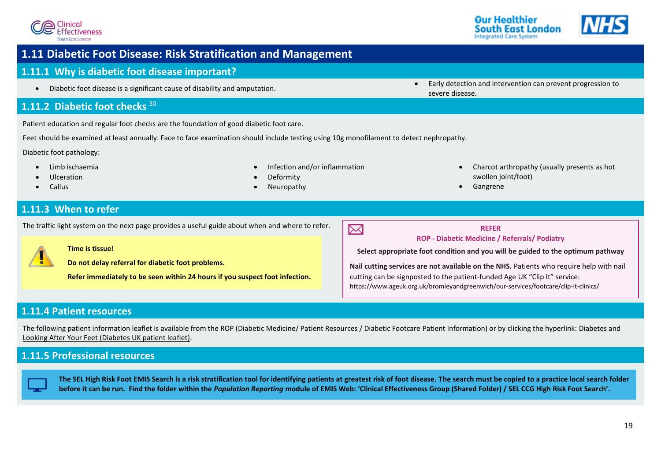

### <span id="page-19-0"></span> **1.11 Diabetic Foot Disease: Risk Stratification and Management**

### **1.11.1 Why is diabetic foot disease important?**

<span id="page-19-2"></span>

### **1.11.2 Diabetic foot checks** [30](#page-34-13)

Patient education and regular foot checks are the foundation of good diabetic foot care.

Feet should be examined at least annually. Face to face examination should include testing using 10g monofilament to detect nephropathy.

Diabetic foot pathology:

• Limb ischaemia

• • Infection and/or inflammation

- Ulceration
- <span id="page-19-3"></span>• Callus
- **Deformity**
- **Neuropathy**

<span id="page-19-1"></span>• Diabetic foot disease is a significant cause of disability and amputation. • **• Early detection and intervention can prevent progression to • Diabetic foot disease is a significant cause of disability and amputatio** severe disease.

Our Healthier

**South East London Integrated Care System** 

swollen joint/foot) • Gangrene

• Charcot arthropathy (usually presents as hot

### **1.11.3 When to refer**

The traffic light system on the next page provides a useful guide about when and where to refer.



#### **Time is tissue!**

**Do not delay referral for diabetic foot problems.**

**Refer immediately to be seen within 24 hours if you suspect foot infection.** 



**Select appropriate foot condition and you will be guided to the optimum pathway**

**Nail cutting services are not available on the NHS.** Patients who require help with nail cutting can be signposted to the patient-funded Age UK "Clip It" service: <https://www.ageuk.org.uk/bromleyandgreenwich/our-services/footcare/clip-it-clinics/>

### <span id="page-19-4"></span>**1.11.4 Patient resources**

The following patient information leaflet is available from the ROP (Diabetic Medicine/ Patient Resources / Diabetic Footcare Patient Information) or by clicking the hyperlink: [Diabetes and](https://cdn.shopify.com/s/files/1/1922/6045/files/Diabetes_and_looking_after_your_feet_for_web_6ec78309-b1c1-471e-be15-99184b252dcb.pdf)  [Looking After Your Feet \(Diabetes UK patient leaflet\).](https://cdn.shopify.com/s/files/1/1922/6045/files/Diabetes_and_looking_after_your_feet_for_web_6ec78309-b1c1-471e-be15-99184b252dcb.pdf)

### **1.11.5 Professional resources**

<span id="page-19-5"></span>**The SEL High Risk Foot EMIS Search is a risk stratification tool for identifying patients at greatest risk of foot disease. The search must be copied to a practice local search folder before it can be run. Find the folder within the** *Population Reporting* **module of EMIS Web: 'Clinical Effectiveness Group (Shared Folder) / SEL CCG High Risk Foot Search'.**

 $\boxtimes$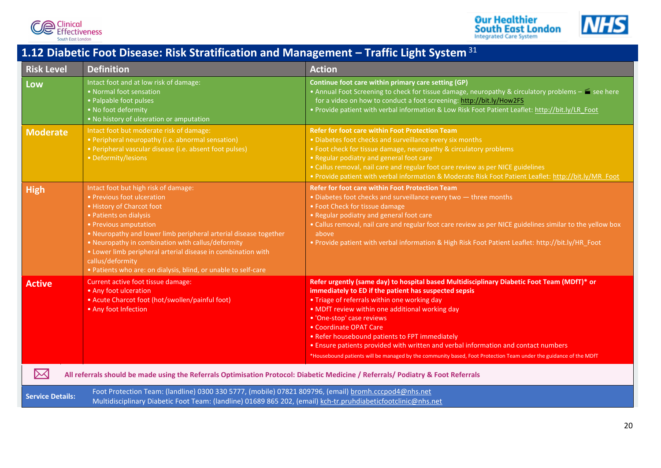

**Our Healthier**<br>**South East London**<br>Integrated Care System



## <span id="page-20-0"></span>**1.12 Diabetic Foot Disease: Risk Stratification and Management – Traffic Light System** [31](#page-34-14)

| <b>Risk Level</b>       | <b>Definition</b>                                                                                                                                                                                                                                                                                                                                                                                                                 | <b>Action</b>                                                                                                                                                                                                                                                                                                                                                                                                                                                                                                                                                              |  |  |  |
|-------------------------|-----------------------------------------------------------------------------------------------------------------------------------------------------------------------------------------------------------------------------------------------------------------------------------------------------------------------------------------------------------------------------------------------------------------------------------|----------------------------------------------------------------------------------------------------------------------------------------------------------------------------------------------------------------------------------------------------------------------------------------------------------------------------------------------------------------------------------------------------------------------------------------------------------------------------------------------------------------------------------------------------------------------------|--|--|--|
| Low                     | Intact foot and at low risk of damage:<br>• Normal foot sensation<br>• Palpable foot pulses<br>• No foot deformity<br>. No history of ulceration or amputation                                                                                                                                                                                                                                                                    | Continue foot care within primary care setting (GP)<br>• Annual Foot Screening to check for tissue damage, neuropathy & circulatory problems - $\blacksquare$ see here<br>for a video on how to conduct a foot screening: http://bit.ly/How2FS<br>. Provide patient with verbal information & Low Risk Foot Patient Leaflet: http://bit.ly/LR Foot                                                                                                                                                                                                                         |  |  |  |
| <b>Moderate</b>         | Intact foot but moderate risk of damage:<br>• Peripheral neuropathy (i.e. abnormal sensation)<br>• Peripheral vascular disease (i.e. absent foot pulses)<br>• Deformity/lesions                                                                                                                                                                                                                                                   | <b>Refer for foot care within Foot Protection Team</b><br>• Diabetes foot checks and surveillance every six months<br>• Foot check for tissue damage, neuropathy & circulatory problems<br>. Regular podiatry and general foot care<br>• Callus removal, nail care and regular foot care review as per NICE guidelines<br>. Provide patient with verbal information & Moderate Risk Foot Patient Leaflet: http://bit.ly/MR Foot                                                                                                                                            |  |  |  |
| High                    | Intact foot but high risk of damage:<br>• Previous foot ulceration<br>• History of Charcot foot<br>• Patients on dialysis<br>• Previous amputation<br>. Neuropathy and lower limb peripheral arterial disease together<br>• Neuropathy in combination with callus/deformity<br>• Lower limb peripheral arterial disease in combination with<br>callus/deformity<br>. Patients who are: on dialysis, blind, or unable to self-care | <b>Refer for foot care within Foot Protection Team</b><br>. Diabetes foot checks and surveillance every two - three months<br>• Foot Check for tissue damage<br>• Regular podiatry and general foot care<br>. Callus removal, nail care and regular foot care review as per NICE guidelines similar to the yellow box<br>above<br>. Provide patient with verbal information & High Risk Foot Patient Leaflet: http://bit.ly/HR Foot                                                                                                                                        |  |  |  |
| <b>Active</b>           | Current active foot tissue damage:<br>• Any foot ulceration<br>• Acute Charcot foot (hot/swollen/painful foot)<br>• Any foot Infection                                                                                                                                                                                                                                                                                            | Refer urgently (same day) to hospital based Multidisciplinary Diabetic Foot Team (MDfT)* or<br>immediately to ED if the patient has suspected sepsis<br>• Triage of referrals within one working day<br>. MDfT review within one additional working day<br>• 'One-stop' case reviews<br>• Coordinate OPAT Care<br>• Refer housebound patients to FPT immediately<br>. Ensure patients provided with written and verbal information and contact numbers<br>*Housebound patients will be managed by the community based, Foot Protection Team under the guidance of the MDfT |  |  |  |
| $\boxtimes$             | All referrals should be made using the Referrals Optimisation Protocol: Diabetic Medicine / Referrals/ Podiatry & Foot Referrals                                                                                                                                                                                                                                                                                                  |                                                                                                                                                                                                                                                                                                                                                                                                                                                                                                                                                                            |  |  |  |
| <b>Service Details:</b> | Foot Protection Team: (landline) 0300 330 5777, (mobile) 07821 809796, (email) bromh.cccpod4@nhs.net<br>Multidisciplinary Diabetic Foot Team: (landline) 01689 865 202, (email) kch-tr.pruhdiabeticfootclinic@nhs.net                                                                                                                                                                                                             |                                                                                                                                                                                                                                                                                                                                                                                                                                                                                                                                                                            |  |  |  |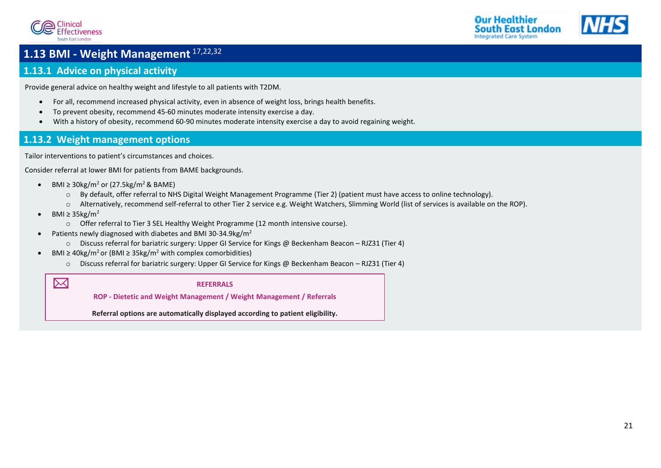



## <span id="page-21-0"></span>**1.13 BMI - Weight Management** [17](#page-34-0)[,22](#page-34-5)[,32](#page-34-15)

### <span id="page-21-1"></span>**1.13.1 Advice on physical activity**

Provide general advice on healthy weight and lifestyle to all patients with T2DM.

- For all, recommend increased physical activity, even in absence of weight loss, brings health benefits.
- To prevent obesity, recommend 45-60 minutes moderate intensity exercise a day.
- <span id="page-21-2"></span>• With a history of obesity, recommend 60-90 minutes moderate intensity exercise a day to avoid regaining weight.

### **1.13.2 Weight management options**

Tailor interventions to patient's circumstances and choices.

Consider referral at lower BMI for patients from BAME backgrounds.

- BMI  $\geq$  30kg/m<sup>2</sup> or (27.5kg/m<sup>2</sup> & BAME)
	- o By default, offer referral to NHS Digital Weight Management Programme (Tier 2) (patient must have access to online technology).
	- o Alternatively, recommend self-referral to other Tier 2 service e.g. Weight Watchers, Slimming World (list of services is available on the ROP).
- BMI  $\geq$  35kg/m<sup>2</sup>

 $\boxtimes$ 

- o Offer referral to Tier 3 SEL Healthy Weight Programme (12 month intensive course).
- Patients newly diagnosed with diabetes and BMI 30-34.9kg/m<sup>2</sup>
	- o Discuss referral for bariatric surgery: Upper GI Service for Kings @ Beckenham Beacon RJZ31 (Tier 4)
- BMI  $\geq$  40kg/m<sup>2</sup> or (BMI  $\geq$  35kg/m<sup>2</sup> with complex comorbidities)
	- o Discuss referral for bariatric surgery: Upper GI Service for Kings @ Beckenham Beacon RJZ31 (Tier 4)

**REFERRALS**

**ROP - Dietetic and Weight Management / Weight Management / Referrals**

**Referral options are automatically displayed according to patient eligibility.**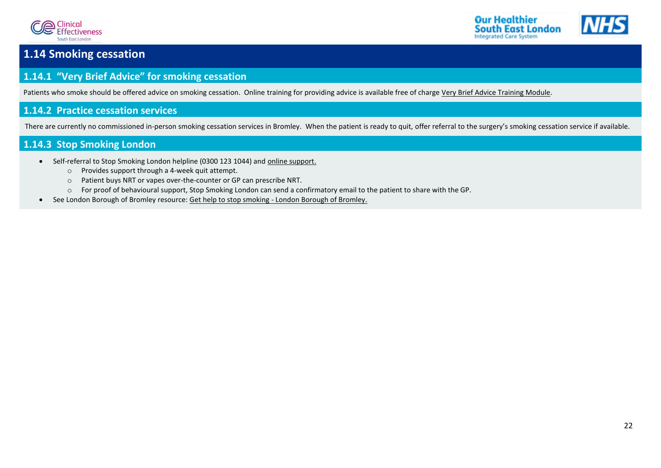



## <span id="page-22-0"></span>**1.14 Smoking cessation**

### <span id="page-22-1"></span>**1.14.1 "Very Brief Advice" for smoking cessation**

Patients who smoke should be offered advice on smoking cessation. Online training for providing advice is available free of charge [Very Brief Advice Training Module.](http://www.ncsct.co.uk/publication_very-brief-advice.php)

### <span id="page-22-2"></span>**1.14.2 Practice cessation services**

There are currently no commissioned in-person smoking cessation services in Bromley. When the patient is ready to quit, offer referral to the surgery's smoking cessation service if available.

### **1.14.3 Stop Smoking London**

- <span id="page-22-3"></span>• Self-referral to Stop Smoking London helpline (0300 123 1044) and [online support.](https://stopsmokinglondon.com/)
	- o Provides support through a 4-week quit attempt.
	- o Patient buys NRT or vapes over-the-counter or GP can prescribe NRT.
	- o For proof of behavioural support, Stop Smoking London can send a confirmatory email to the patient to share with the GP.
- See London Borough of Bromley resource: Get help to stop smoking [London Borough of Bromley.](https://www.bromley.gov.uk/info/200048/health_and_wellbeing/1309/get_help_to_stop_smoking)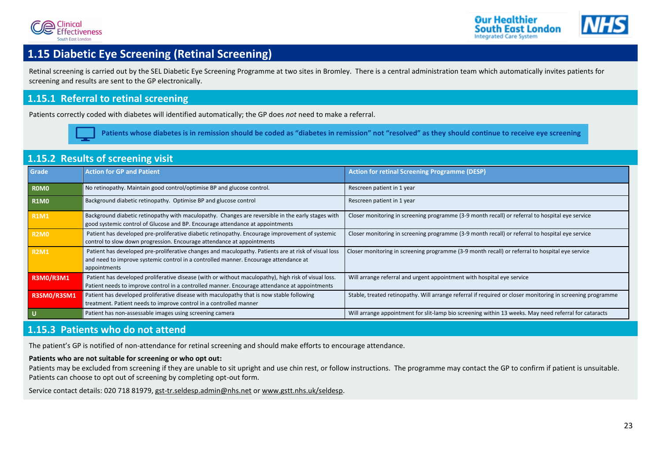



## <span id="page-23-1"></span>**1.15 Diabetic Eye Screening (Retinal Screening)**

Retinal screening is carried out by the SEL Diabetic Eye Screening Programme at two sites in Bromley. There is a central administration team which automatically invites patients for screening and results are sent to the GP electronically.

### <span id="page-23-2"></span>**1.15.1 Referral to retinal screening**

Patients correctly coded with diabetes will identified automatically; the GP does *not* need to make a referral.

<span id="page-23-0"></span>**Patients whose diabetes is in remission should be coded as "diabetes in remission" not "resolved" as they should continue to receive eye screening**

### <span id="page-23-3"></span>**1.15.2 Results of screening visit**

| Grade            | <b>Action for GP and Patient</b>                                                                                                                                                                             | <b>Action for retinal Screening Programme (DESP)</b>                                                       |
|------------------|--------------------------------------------------------------------------------------------------------------------------------------------------------------------------------------------------------------|------------------------------------------------------------------------------------------------------------|
| <b>ROMO</b>      | No retinopathy. Maintain good control/optimise BP and glucose control.                                                                                                                                       | Rescreen patient in 1 year                                                                                 |
| <b>R1M0</b>      | Background diabetic retinopathy. Optimise BP and glucose control                                                                                                                                             | Rescreen patient in 1 year                                                                                 |
| <b>R1M1</b>      | Background diabetic retinopathy with maculopathy. Changes are reversible in the early stages with<br>good systemic control of Glucose and BP. Encourage attendance at appointments                           | Closer monitoring in screening programme (3-9 month recall) or referral to hospital eye service            |
| <b>R2M0</b>      | Patient has developed pre-proliferative diabetic retinopathy. Encourage improvement of systemic<br>control to slow down progression. Encourage attendance at appointments                                    | Closer monitoring in screening programme (3-9 month recall) or referral to hospital eye service            |
| <b>R2M1</b>      | Patient has developed pre-proliferative changes and maculopathy. Patients are at risk of visual loss<br>and need to improve systemic control in a controlled manner. Encourage attendance at<br>appointments | Closer monitoring in screening programme (3-9 month recall) or referral to hospital eye service            |
| <b>R3M0/R3M1</b> | Patient has developed proliferative disease (with or without maculopathy), high risk of visual loss.<br>Patient needs to improve control in a controlled manner. Encourage attendance at appointments        | Will arrange referral and urgent appointment with hospital eye service                                     |
| R3SM0/R3SM1      | Patient has developed proliferative disease with maculopathy that is now stable following<br>treatment. Patient needs to improve control in a controlled manner                                              | Stable, treated retinopathy. Will arrange referral if required or closer monitoring in screening programme |
| l U              | Patient has non-assessable images using screening camera                                                                                                                                                     | Will arrange appointment for slit-lamp bio screening within 13 weeks. May need referral for cataracts      |

### <span id="page-23-4"></span>**1.15.3 Patients who do not attend**

The patient's GP is notified of non-attendance for retinal screening and should make efforts to encourage attendance.

#### **Patients who are not suitable for screening or who opt out:**

Patients may be excluded from screening if they are unable to sit upright and use chin rest, or follow instructions. The programme may contact the GP to confirm if patient is unsuitable. Patients can choose to opt out of screening by completing opt-out form.

Service contact details: 020 718 81979, [gst-tr.seldesp.admin@nhs.net](mailto:gst-tr.seldesp.admin@nhs.net) o[r www.gstt.nhs.uk/seldesp.](http://www.gstt.nhs.uk/seldesp)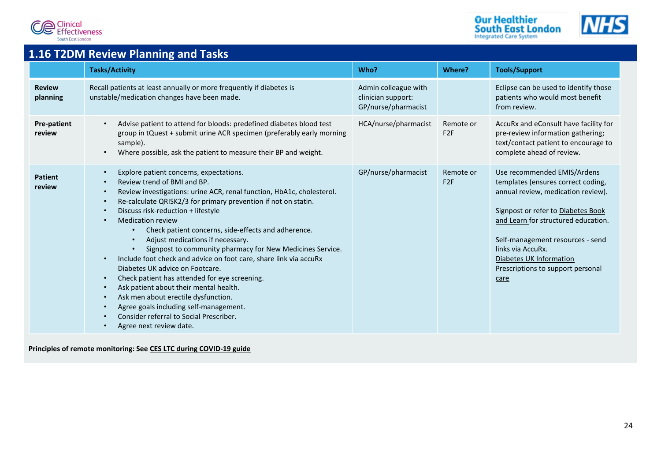





## <span id="page-24-0"></span>**1.16 T2DM Review Planning and Tasks**

|                              | <b>Tasks/Activity</b>                                                                                                                                                                                                                                                                                                                                                                                                                                                                                                                                                                                                                                                                                                                                                                                                                                                  | Who?                                                              | Where?                       | <b>Tools/Support</b>                                                                                                                                                                                                                                                                                                  |
|------------------------------|------------------------------------------------------------------------------------------------------------------------------------------------------------------------------------------------------------------------------------------------------------------------------------------------------------------------------------------------------------------------------------------------------------------------------------------------------------------------------------------------------------------------------------------------------------------------------------------------------------------------------------------------------------------------------------------------------------------------------------------------------------------------------------------------------------------------------------------------------------------------|-------------------------------------------------------------------|------------------------------|-----------------------------------------------------------------------------------------------------------------------------------------------------------------------------------------------------------------------------------------------------------------------------------------------------------------------|
| <b>Review</b><br>planning    | Recall patients at least annually or more frequently if diabetes is<br>unstable/medication changes have been made.                                                                                                                                                                                                                                                                                                                                                                                                                                                                                                                                                                                                                                                                                                                                                     | Admin colleague with<br>clinician support:<br>GP/nurse/pharmacist |                              | Eclipse can be used to identify those<br>patients who would most benefit<br>from review.                                                                                                                                                                                                                              |
| <b>Pre-patient</b><br>review | Advise patient to attend for bloods: predefined diabetes blood test<br>group in tQuest + submit urine ACR specimen (preferably early morning<br>sample).<br>Where possible, ask the patient to measure their BP and weight.                                                                                                                                                                                                                                                                                                                                                                                                                                                                                                                                                                                                                                            | HCA/nurse/pharmacist                                              | Remote or<br>F2F             | AccuRx and eConsult have facility for<br>pre-review information gathering;<br>text/contact patient to encourage to<br>complete ahead of review.                                                                                                                                                                       |
| <b>Patient</b><br>review     | Explore patient concerns, expectations.<br>$\bullet$<br>Review trend of BMI and BP.<br>Review investigations: urine ACR, renal function, HbA1c, cholesterol.<br>$\bullet$<br>Re-calculate QRISK2/3 for primary prevention if not on statin.<br>Discuss risk-reduction + lifestyle<br><b>Medication review</b><br>Check patient concerns, side-effects and adherence.<br>$\bullet$<br>Adjust medications if necessary.<br>Signpost to community pharmacy for New Medicines Service.<br>Include foot check and advice on foot care, share link via accuRx<br>Diabetes UK advice on Footcare.<br>Check patient has attended for eye screening.<br>$\bullet$<br>Ask patient about their mental health.<br>$\bullet$<br>Ask men about erectile dysfunction.<br>Agree goals including self-management.<br>Consider referral to Social Prescriber.<br>Agree next review date. | GP/nurse/pharmacist                                               | Remote or<br>F <sub>2F</sub> | Use recommended EMIS/Ardens<br>templates (ensures correct coding,<br>annual review, medication review).<br>Signpost or refer to Diabetes Book<br>and Learn for structured education.<br>Self-management resources - send<br>links via AccuRx.<br>Diabetes UK Information<br>Prescriptions to support personal<br>care |

**Principles of remote monitoring: See [CES LTC during COVID-19 guide](http://www.clinicaleffectivenesssouthwark.co.uk/wp-content/uploads/2020/11/LTC-management-during-COVID-19-and-beyond.-Version-1.8.pdf)**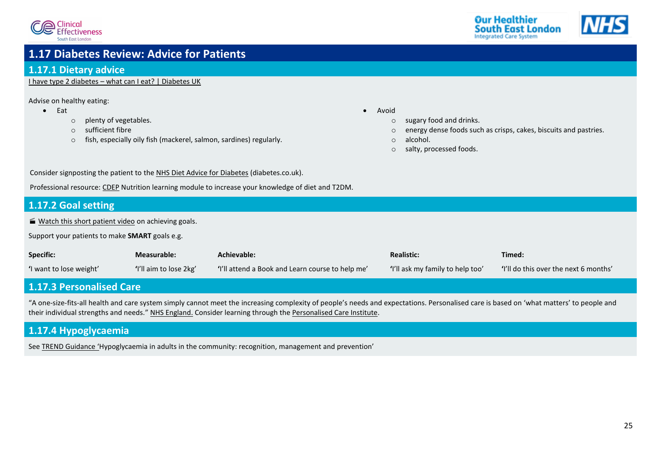



### <span id="page-25-5"></span><span id="page-25-1"></span>**1.17 Diabetes Review: Advice for Patients**

### <span id="page-25-0"></span>**1.17.1 Dietary advice**

I have type 2 diabetes – [what can I eat? | Diabetes UK](https://www.diabetes.org.uk/guide-to-diabetes/enjoy-food/eating-with-diabetes/i-have-type-2-diabetes)

Advise on healthy eating:

- Eat
	- o plenty of vegetables.
	- o sufficient fibre
	- o fish, especially oily fish (mackerel, salmon, sardines) regularly.
- Avoid
	- o sugary food and drinks.
	- o energy dense foods such as crisps, cakes, biscuits and pastries.
	- o alcohol.
	- o salty, processed foods.

Consider signposting the patient to the [NHS Diet Advice for Diabetes](https://www.diabetes.co.uk/diet/nhs-diet-advice.html) (diabetes.co.uk).

Professional resource[: CDEP](http://www.cdep.org.uk/) Nutrition learning module to increase your knowledge of diet and T2DM.

### <span id="page-25-3"></span>**1.17.2 Goal setting**

[Watch this short patient video](https://www.youtube.com/watch?v=nP1blg7qc9o) on achieving goals.

Support your patients to make **SMART** goals e.g.

| <b>Specific:</b>        | Measurable:            | Achievable:                                      | <b>Realistic:</b>                | Timed:                                |
|-------------------------|------------------------|--------------------------------------------------|----------------------------------|---------------------------------------|
| 'I want to lose weight' | 'I'll aim to lose 2kg' | "I'll attend a Book and Learn course to help me" | 'I'll ask my family to help too' | 'I'll do this over the next 6 months' |

### <span id="page-25-2"></span>**1.17.3 Personalised Care**

"A one-size-fits-all health and care system simply cannot meet the increasing complexity of people's needs and expectations. Personalised care is based on 'what matters' to people and their individual strengths and needs.["](https://www.england.nhs.uk/personalisedcare/) [NHS England.](https://www.england.nhs.uk/personalisedcare/) Consider learning through the [Personalised Care Institute.](https://www.personalisedcareinstitute.org.uk/)

### <span id="page-25-4"></span>**1.17.4 Hypoglycaemia**

See [TREND Guidance](https://trenddiabetes.online/wp-content/uploads/2018/09/HCP_Hypo_TREND_FINAL.pdf) 'Hypoglycaemia in adults in the community: recognition, management and prevention'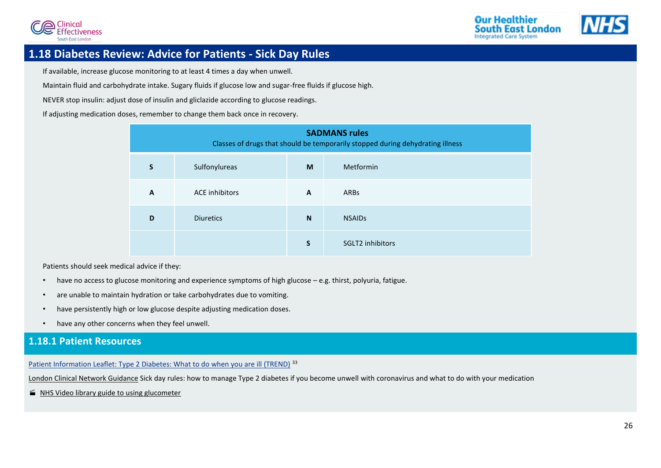



### **1.18 Diabetes Review: Advice for Patients - Sick Day Rules**

<span id="page-26-1"></span>If available, increase glucose monitoring to at least 4 times a day when unwell.

Maintain fluid and carbohydrate intake. Sugary fluids if glucose low and sugar-free fluids if glucose high.

NEVER stop insulin: adjust dose of insulin and gliclazide according to glucose readings.

If adjusting medication doses, remember to change them back once in recovery.

<span id="page-26-0"></span>

| <b>SADMANS rules</b><br>Classes of drugs that should be temporarily stopped during dehydrating illness |                       |    |                         |  |  |
|--------------------------------------------------------------------------------------------------------|-----------------------|----|-------------------------|--|--|
| S                                                                                                      | Sulfonylureas<br>M    |    | Metformin               |  |  |
| A                                                                                                      | <b>ACE</b> inhibitors | A  | <b>ARBs</b>             |  |  |
| D                                                                                                      | <b>Diuretics</b>      | N  | <b>NSAIDs</b>           |  |  |
|                                                                                                        |                       | S. | <b>SGLT2</b> inhibitors |  |  |

Patients should seek medical advice if they:

- have no access to glucose monitoring and experience symptoms of high glucose e.g. thirst, polyuria, fatigue.
- are unable to maintain hydration or take carbohydrates due to vomiting.
- have persistently high or low glucose despite adjusting medication doses.
- <span id="page-26-2"></span>have any other concerns when they feel unwell.

### **1.18.1 Patient Resources**

[Patient Information Leaflet: Type 2 Diabetes: What to do when you are ill \(TREND\)](https://www.knowdiabetes.org.uk/media/1164/a5_t2illness_trend.pdf)<sup>[33](#page-34-16)</sup>

[London Clinical Network Guidance](https://www.england.nhs.uk/london/wp-content/uploads/sites/8/2020/04/3.-Covid-19-Type-2-Sick-Day-Rules-Crib-Sheet-06042020.pdf) Sick day rules: how to manage Type 2 diabetes if you become unwell with coronavirus and what to do with your medication

■ [NHS Video library guide to using glucometer](https://www.healthandcarevideos.uk/diabetes?videoId=3465)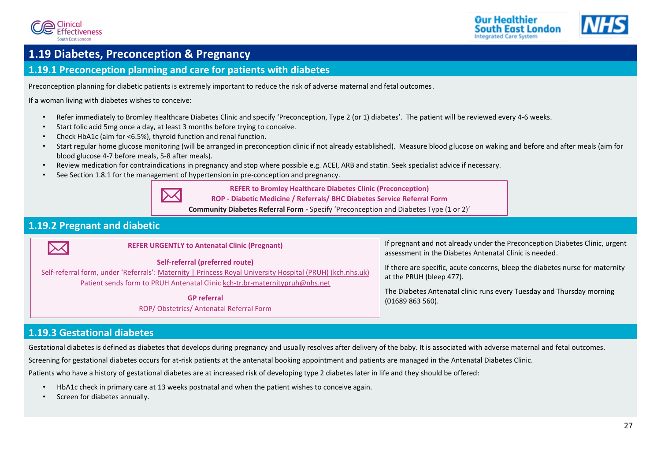





## <span id="page-27-0"></span>**1.19 Diabetes, Preconception & Pregnancy**

### <span id="page-27-1"></span>**1.19.1 Preconception planning and care for patients with diabetes**

Preconception planning for diabetic patients is extremely important to reduce the risk of adverse maternal and fetal outcomes.

If a woman living with diabetes wishes to conceive:

- Refer immediately to Bromley Healthcare Diabetes Clinic and specify 'Preconception, Type 2 (or 1) diabetes'. The patient will be reviewed every 4-6 weeks.
- Start folic acid 5mg once a day, at least 3 months before trying to conceive.
- Check HbA1c (aim for <6.5%), thyroid function and renal function.
- Start regular home glucose monitoring (will be arranged in preconception clinic if not already established). Measure blood glucose on waking and before and after meals (aim for blood glucose 4-7 before meals, 5-8 after meals).
- Review medication for contraindications in pregnancy and stop where possible e.g. ACEI, ARB and statin. Seek specialist advice if necessary.
- See Section [1.8.1](#page-15-1) for the management of hypertension in pre-conception and pregnancy.



**REFER to Bromley Healthcare Diabetes Clinic (Preconception) ROP - Diabetic Medicine / Referrals/ BHC Diabetes Service Referral Form**

**Community Diabetes Referral Form -** Specify 'Preconception and Diabetes Type (1 or 2)'

### <span id="page-27-2"></span>**1.19.2 Pregnant and diabetic**

| <b>REFER URGENTLY to Antenatal Clinic (Pregnant)</b>                                                                                                                                                                        | If pregnant and not already under the Preconception Diabetes Clinic, urgent                               |
|-----------------------------------------------------------------------------------------------------------------------------------------------------------------------------------------------------------------------------|-----------------------------------------------------------------------------------------------------------|
| $\mathsf{I}\!\!\!\times\!\!\!\mathsf{I}$                                                                                                                                                                                    | assessment in the Diabetes Antenatal Clinic is needed.                                                    |
| Self-referral (preferred route)<br>Self-referral form, under 'Referrals': Maternity   Princess Royal University Hospital (PRUH) (kch.nhs.uk)<br>Patient sends form to PRUH Antenatal Clinic kch-tr.br-maternitypruh@nhs.net | If there are specific, acute concerns, bleep the diabetes nurse for maternity<br>at the PRUH (bleep 477). |
| <b>GP</b> referral                                                                                                                                                                                                          | The Diabetes Antenatal clinic runs every Tuesday and Thursday morning                                     |
| ROP/Obstetrics/Antenatal Referral Form                                                                                                                                                                                      | (01689 863 560).                                                                                          |

### <span id="page-27-3"></span>**1.19.3 Gestational diabetes**

Gestational diabetes is defined as diabetes that develops during pregnancy and usually resolves after delivery of the baby. It is associated with adverse maternal and fetal outcomes.

Screening for gestational diabetes occurs for at-risk patients at the antenatal booking appointment and patients are managed in the Antenatal Diabetes Clinic.

Patients who have a history of gestational diabetes are at increased risk of developing type 2 diabetes later in life and they should be offered:

- HbA1c check in primary care at 13 weeks postnatal and when the patient wishes to conceive again.
- Screen for diabetes annually.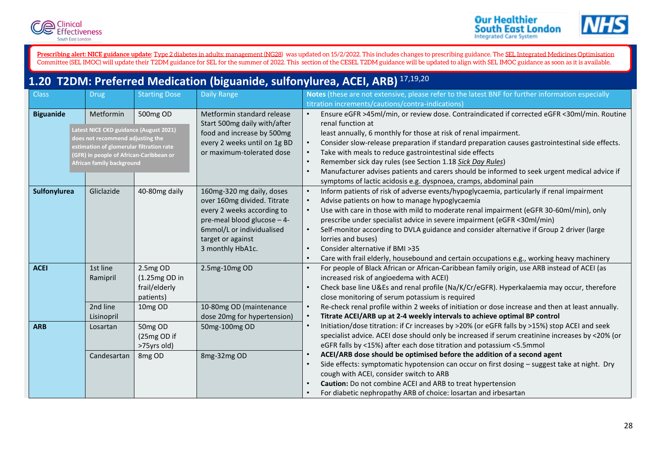![](_page_28_Picture_0.jpeg)

![](_page_28_Picture_2.jpeg)

<span id="page-28-0"></span>[Prescribing alert: NICE guidance update:](https://www.nice.org.uk/guidance/ng28) [Type 2 diabetes in adults: management \(NG28\)](https://www.nice.org.uk/guidance/ng28) was updated on 15/2/2022. This includes changes to prescribing guidance. The <u>SEL Integrated Medicines Optimisation</u> Committee (SEL IMOC) will update their T2DM guidance for SEL for the summer of 2022. This section of the CESEL T2DM guidance will be updated to align with SEL IMOC guidance as soon as it is available.

## <span id="page-28-1"></span>**1.20 T2DM: Preferred Medication (biguanide, sulfonylurea, ACEI, ARB)** [17](#page-34-0)[,19](#page-34-2)[,20](#page-34-3)

| <b>Class</b>        | <b>Drug</b>                                                                | <b>Starting Dose</b> | <b>Daily Range</b>           | Notes (these are not extensive, please refer to the latest BNF for further information especially             |
|---------------------|----------------------------------------------------------------------------|----------------------|------------------------------|---------------------------------------------------------------------------------------------------------------|
|                     |                                                                            |                      |                              | titration increments/cautions/contra-indications)                                                             |
| <b>Biguanide</b>    | Metformin                                                                  | 500mg OD             | Metformin standard release   | Ensure eGFR >45ml/min, or review dose. Contraindicated if corrected eGFR <30ml/min. Routine                   |
|                     |                                                                            |                      | Start 500mg daily with/after | renal function at                                                                                             |
|                     | Latest NICE CKD guidance (August 2021)<br>does not recommend adjusting the |                      | food and increase by 500mg   | least annually, 6 monthly for those at risk of renal impairment.                                              |
|                     | estimation of glomerular filtration rate                                   |                      | every 2 weeks until on 1g BD | Consider slow-release preparation if standard preparation causes gastrointestinal side effects.               |
|                     | (GFR) in people of African-Caribbean or                                    |                      | or maximum-tolerated dose    | Take with meals to reduce gastrointestinal side effects                                                       |
|                     | African family background                                                  |                      |                              | Remember sick day rules (see Section 1.18 Sick Day Rules)<br>$\bullet$                                        |
|                     |                                                                            |                      |                              | Manufacturer advises patients and carers should be informed to seek urgent medical advice if                  |
|                     |                                                                            |                      |                              | symptoms of lactic acidosis e.g. dyspnoea, cramps, abdominal pain                                             |
| <b>Sulfonylurea</b> | Gliclazide                                                                 | 40-80mg daily        | 160mg-320 mg daily, doses    | Inform patients of risk of adverse events/hypoglycaemia, particularly if renal impairment<br>$\bullet$        |
|                     |                                                                            |                      | over 160mg divided. Titrate  | Advise patients on how to manage hypoglycaemia                                                                |
|                     |                                                                            |                      | every 2 weeks according to   | Use with care in those with mild to moderate renal impairment (eGFR 30-60ml/min), only                        |
|                     |                                                                            |                      | pre-meal blood glucose - 4-  | prescribe under specialist advice in severe impairment (eGFR <30ml/min)                                       |
|                     |                                                                            |                      | 6mmol/L or individualised    | Self-monitor according to DVLA guidance and consider alternative if Group 2 driver (large                     |
|                     |                                                                            |                      | target or against            | lorries and buses)                                                                                            |
|                     |                                                                            |                      | 3 monthly HbA1c.             | Consider alternative if BMI >35<br>$\bullet$                                                                  |
|                     |                                                                            |                      |                              | Care with frail elderly, housebound and certain occupations e.g., working heavy machinery                     |
| <b>ACEI</b>         | 1st line                                                                   | 2.5mg OD             | 2.5mg-10mg OD                | For people of Black African or African-Caribbean family origin, use ARB instead of ACEI (as                   |
|                     | Ramipril                                                                   | (1.25mg OD in        |                              | increased risk of angioedema with ACEI)                                                                       |
|                     |                                                                            | frail/elderly        |                              | Check base line U&Es and renal profile (Na/K/Cr/eGFR). Hyperkalaemia may occur, therefore                     |
|                     |                                                                            | patients)            |                              | close monitoring of serum potassium is required                                                               |
|                     | 2nd line                                                                   | 10mg OD              | 10-80mg OD (maintenance      | Re-check renal profile within 2 weeks of initiation or dose increase and then at least annually.<br>$\bullet$ |
|                     | Lisinopril                                                                 |                      | dose 20mg for hypertension)  | Titrate ACEI/ARB up at 2-4 weekly intervals to achieve optimal BP control                                     |
| <b>ARB</b>          | Losartan                                                                   | 50mg OD              | 50mg-100mg OD                | Initiation/dose titration: if Cr increases by >20% (or eGFR falls by >15%) stop ACEI and seek                 |
|                     |                                                                            | (25mg OD if          |                              | specialist advice. ACEI dose should only be increased if serum creatinine increases by <20% (or               |
|                     |                                                                            | >75yrs old)          |                              | eGFR falls by <15%) after each dose titration and potassium <5.5mmol                                          |
|                     | Candesartan                                                                | 8mg OD               | 8mg-32mg OD                  | ACEI/ARB dose should be optimised before the addition of a second agent                                       |
|                     |                                                                            |                      |                              | Side effects: symptomatic hypotension can occur on first dosing - suggest take at night. Dry                  |
|                     |                                                                            |                      |                              | cough with ACEI, consider switch to ARB                                                                       |
|                     |                                                                            |                      |                              | Caution: Do not combine ACEI and ARB to treat hypertension                                                    |
|                     |                                                                            |                      |                              | For diabetic nephropathy ARB of choice: losartan and irbesartan                                               |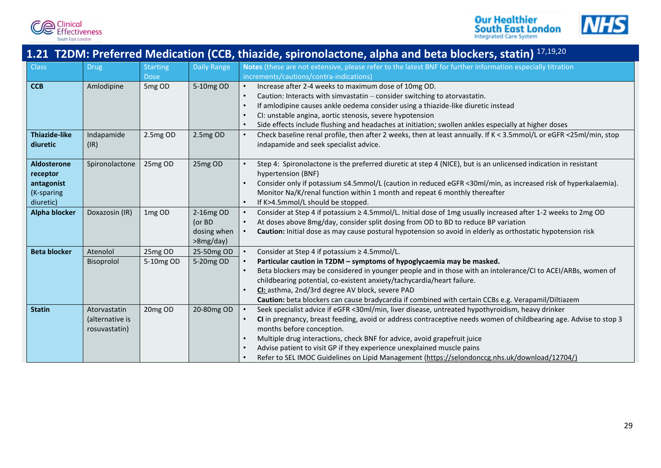![](_page_29_Picture_0.jpeg)

<span id="page-29-0"></span>**Clinical**<br>Effectiveness South East London

![](_page_29_Picture_1.jpeg)

![](_page_29_Picture_2.jpeg)

## <span id="page-29-1"></span>**1.21 T2DM: Preferred Medication (CCB, thiazide, spironolactone, alpha and beta blockers, statin)** [17,](#page-34-0)[19](#page-34-2)[,20](#page-34-3)

| <b>Class</b>         | <b>Drug</b>     | <b>Starting</b> | <b>Daily Range</b> | Notes (these are not extensive, please refer to the latest BNF for further information especially titration        |
|----------------------|-----------------|-----------------|--------------------|--------------------------------------------------------------------------------------------------------------------|
|                      |                 | <b>Dose</b>     |                    | increments/cautions/contra-indications)                                                                            |
| <b>CCB</b>           | Amlodipine      | 5mg OD          | 5-10mg OD          | Increase after 2-4 weeks to maximum dose of 10mg OD.                                                               |
|                      |                 |                 |                    | Caution: Interacts with simvastatin - consider switching to atorvastatin.                                          |
|                      |                 |                 |                    | If amlodipine causes ankle oedema consider using a thiazide-like diuretic instead                                  |
|                      |                 |                 |                    | CI: unstable angina, aortic stenosis, severe hypotension<br>$\bullet$                                              |
|                      |                 |                 |                    | Side effects include flushing and headaches at initiation; swollen ankles especially at higher doses               |
| <b>Thiazide-like</b> | Indapamide      | 2.5mg OD        | 2.5mg OD           | Check baseline renal profile, then after 2 weeks, then at least annually. If K < 3.5mmol/L or eGFR <25ml/min, stop |
| diuretic             | (IR)            |                 |                    | indapamide and seek specialist advice.                                                                             |
|                      |                 |                 |                    |                                                                                                                    |
| <b>Aldosterone</b>   | Spironolactone  | 25mg OD         | 25mg OD            | Step 4: Spironolactone is the preferred diuretic at step 4 (NICE), but is an unlicensed indication in resistant    |
| receptor             |                 |                 |                    | hypertension (BNF)                                                                                                 |
| antagonist           |                 |                 |                    | Consider only if potassium <4.5mmol/L (caution in reduced eGFR <30ml/min, as increased risk of hyperkalaemia).     |
| (K-sparing           |                 |                 |                    | Monitor Na/K/renal function within 1 month and repeat 6 monthly thereafter                                         |
| diuretic)            |                 |                 |                    | If K>4.5mmol/L should be stopped.                                                                                  |
| <b>Alpha blocker</b> | Doxazosin (IR)  | 1mg OD          | 2-16mg OD          | Consider at Step 4 if potassium ≥ 4.5mmol/L. Initial dose of 1mg usually increased after 1-2 weeks to 2mg OD       |
|                      |                 |                 | (or BD             | At doses above 8mg/day, consider split dosing from OD to BD to reduce BP variation                                 |
|                      |                 |                 | dosing when        | Caution: Initial dose as may cause postural hypotension so avoid in elderly as orthostatic hypotension risk        |
|                      |                 |                 | >8mg/day)          |                                                                                                                    |
| <b>Beta blocker</b>  | Atenolol        | 25mg OD         | 25-50mg OD         | Consider at Step 4 if potassium ≥ 4.5mmol/L.                                                                       |
|                      | Bisoprolol      | 5-10mg OD       | 5-20mg OD          | Particular caution in T2DM - symptoms of hypoglycaemia may be masked.                                              |
|                      |                 |                 |                    | Beta blockers may be considered in younger people and in those with an intolerance/CI to ACEI/ARBs, women of       |
|                      |                 |                 |                    | childbearing potential, co-existent anxiety/tachycardia/heart failure.                                             |
|                      |                 |                 |                    | CI: asthma, 2nd/3rd degree AV block, severe PAD                                                                    |
|                      |                 |                 |                    | Caution: beta blockers can cause bradycardia if combined with certain CCBs e.g. Verapamil/Diltiazem                |
| <b>Statin</b>        | Atorvastatin    | 20mg OD         | 20-80mg OD         | Seek specialist advice if eGFR <30ml/min, liver disease, untreated hypothyroidism, heavy drinker                   |
|                      | (alternative is |                 |                    | CI in pregnancy, breast feeding, avoid or address contraceptive needs women of childbearing age. Advise to stop 3  |
|                      | rosuvastatin)   |                 |                    | months before conception.                                                                                          |
|                      |                 |                 |                    | Multiple drug interactions, check BNF for advice, avoid grapefruit juice                                           |
|                      |                 |                 |                    | Advise patient to visit GP if they experience unexplained muscle pains<br>$\bullet$                                |
|                      |                 |                 |                    | Refer to SEL IMOC Guidelines on Lipid Management (https://selondonccg.nhs.uk/download/12704/)                      |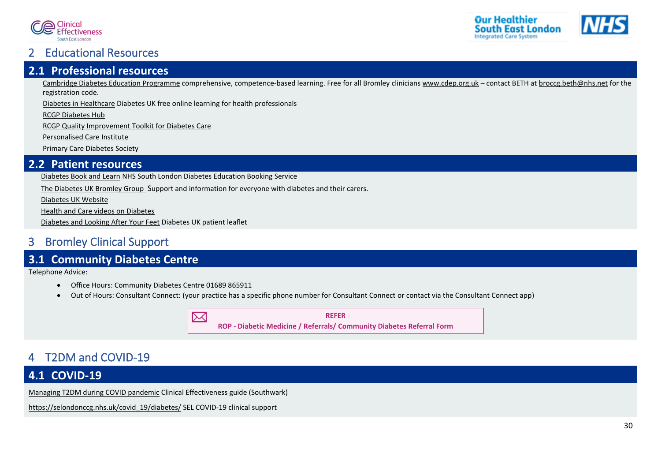![](_page_30_Picture_0.jpeg)

![](_page_30_Picture_1.jpeg)

### <span id="page-30-4"></span>2 Educational Resources

### <span id="page-30-0"></span>**2.1 Professional resources**

[Cambridge Diabetes Education Programme](http://www.cdep.org.uk/) comprehensive, competence-based learning. Free for all Bromley clinicians [www.cdep.org.uk](http://www.cdep.org.uk/) – contact BETH a[t broccg.beth@nhs.net](mailto:broccg.beth@nhs.net) for the registration code.

[Diabetes in Healthcare](https://www.diabetes.org.uk/Professionals/Training--competencies/Diabetes-in-Healthcare) Diabetes UK free online learning for health professionals

[RCGP Diabetes Hub](https://elearning.rcgp.org.uk/mod/page/view.php?id=10179)

[RCGP Quality Improvement Toolkit for Diabetes Care](http://www.rcgp.org.uk/clinical-and-research/resources/toolkits/quality-improvement-toolkit-for-diabetes-care.aspx)

[Personalised Care Institute](https://www.personalisedcareinstitute.org.uk/)

[Primary Care Diabetes Society](https://www.pcdsociety.org/)

### <span id="page-30-1"></span>**2.2 Patient resources**

[Diabetes Book and Learn](https://diabetesbooking.co.uk/) NHS South London Diabetes Education Booking Service

[The Diabetes UK Bromley Group](https://bromley.diabetesukgroup.org/) Support and information for everyone with diabetes and their carers.

[Diabetes UK Website](https://www.diabetes.org.uk/)

[Health and Care videos on Diabetes](https://www.healthandcarevideos.uk/diabetes?videoId=3465)

[Diabetes and Looking After Your Feet](https://cdn.shopify.com/s/files/1/1922/6045/files/Diabetes_and_looking_after_your_feet_for_web_6ec78309-b1c1-471e-be15-99184b252dcb.pdf) Diabetes UK patient leaflet

## <span id="page-30-5"></span>3 Bromley Clinical Support

### <span id="page-30-2"></span>**3.1 Community Diabetes Centre**

Telephone Advice:

- Office Hours: Community Diabetes Centre 01689 865911
- Out of Hours: Consultant Connect: (your practice has a specific phone number for Consultant Connect or contact via the Consultant Connect app)

![](_page_30_Picture_21.jpeg)

## <span id="page-30-6"></span>4 T2DM and COVID-19

### <span id="page-30-3"></span>**4.1 COVID-19**

[Managing T2DM during COVID pandemic](http://www.clinicaleffectivenesssouthwark.co.uk/wp-content/uploads/2020/11/CES-T2DM-and-COVID-V4.2.pdf) Clinical Effectiveness guide (Southwark)

[https://selondonccg.nhs.uk/covid\\_19/diabetes/](https://selondonccg.nhs.uk/covid_19/diabetes/) SEL COVID-19 clinical support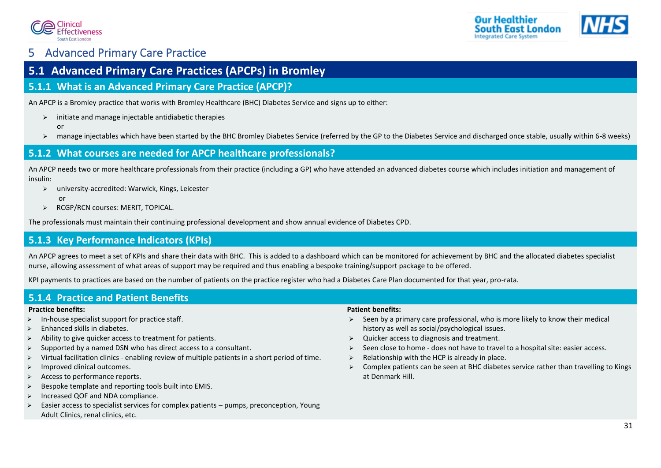![](_page_31_Picture_0.jpeg)

![](_page_31_Picture_1.jpeg)

## <span id="page-31-0"></span>5 Advanced Primary Care Practice

### <span id="page-31-1"></span>**5.1 Advanced Primary Care Practices (APCPs) in Bromley**

### <span id="page-31-2"></span>**5.1.1 What is an Advanced Primary Care Practice (APCP)?**

An APCP is a Bromley practice that works with Bromley Healthcare (BHC) Diabetes Service and signs up to either:

- $\triangleright$  initiate and manage injectable antidiabetic therapies
	- or
- ➢ manage injectables which have been started by the BHC Bromley Diabetes Service (referred by the GP to the Diabetes Service and discharged once stable, usually within 6-8 weeks)

### <span id="page-31-3"></span>**5.1.2 What courses are needed for APCP healthcare professionals?**

An APCP needs two or more healthcare professionals from their practice (including a GP) who have attended an advanced diabetes course which includes initiation and management of insulin:

- ➢ university-accredited: Warwick, Kings, Leicester
	- or
- ➢ RCGP/RCN courses: MERIT, TOPICAL.

The professionals must maintain their continuing professional development and show annual evidence of Diabetes CPD.

### <span id="page-31-4"></span>**5.1.3 Key Performance Indicators (KPIs)**

An APCP agrees to meet a set of KPIs and share their data with BHC. This is added to a dashboard which can be monitored for achievement by BHC and the allocated diabetes specialist nurse, allowing assessment of what areas of support may be required and thus enabling a bespoke training/support package to be offered.

KPI payments to practices are based on the number of patients on the practice register who had a Diabetes Care Plan documented for that year, pro-rata.

### <span id="page-31-5"></span>**5.1.4 Practice and Patient Benefits**

#### **Practice benefits:**

- In-house specialist support for practice staff.
- ➢ Enhanced skills in diabetes.
- ➢ Ability to give quicker access to treatment for patients.
- Supported by a named DSN who has direct access to a consultant.
- ➢ Virtual facilitation clinics enabling review of multiple patients in a short period of time.
- ➢ Improved clinical outcomes.
- ➢ Access to performance reports.
- Bespoke template and reporting tools built into EMIS.
- ➢ Increased QOF and NDA compliance.
- ➢ Easier access to specialist services for complex patients pumps, preconception, Young Adult Clinics, renal clinics, etc.

#### **Patient benefits:**

- $\triangleright$  Seen by a primary care professional, who is more likely to know their medical history as well as social/psychological issues.
- ➢ Quicker access to diagnosis and treatment.
- $\triangleright$  Seen close to home does not have to travel to a hospital site: easier access.
- $\triangleright$  Relationship with the HCP is already in place.
- $\triangleright$  Complex patients can be seen at BHC diabetes service rather than travelling to Kings at Denmark Hill.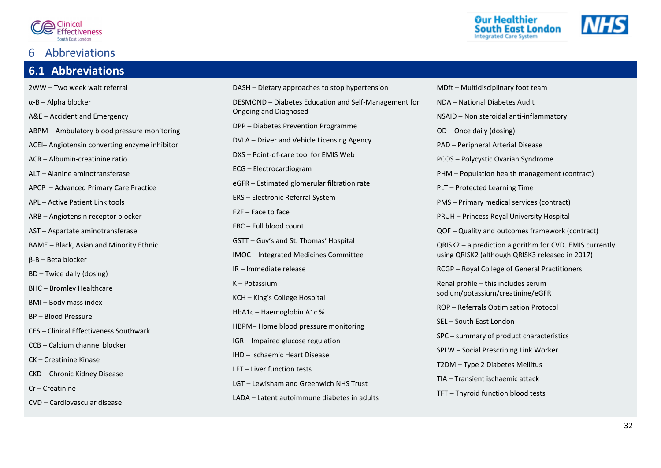![](_page_32_Picture_0.jpeg)

### <span id="page-32-0"></span>**Abbreviations**

### <span id="page-32-1"></span>**6.1 Abbreviations**

2WW – Two week wait referral α-B – Alpha blocker A&E – Accident and Emergency ABPM – Ambulatory blood pressure monitoring ACEI– Angiotensin converting enzyme inhibitor ACR – Albumin-creatinine ratio ALT – Alanine aminotransferase APCP – Advanced Primary Care Practice APL – Active Patient Link tools ARB – Angiotensin receptor blocker AST – Aspartate aminotransferase BAME – Black, Asian and Minority Ethnic β-B – Beta blocker BD – Twice daily (dosing) BHC – Bromley Healthcare BMI – Body mass index BP – Blood Pressure CES – Clinical Effectiveness Southwark CCB – Calcium channel blocker CK – Creatinine Kinase CKD – Chronic Kidney Disease Cr – Creatinine CVD – Cardiovascular disease

![](_page_32_Picture_4.jpeg)

![](_page_32_Picture_5.jpeg)

Our Healthier

**South East London Integrated Care System**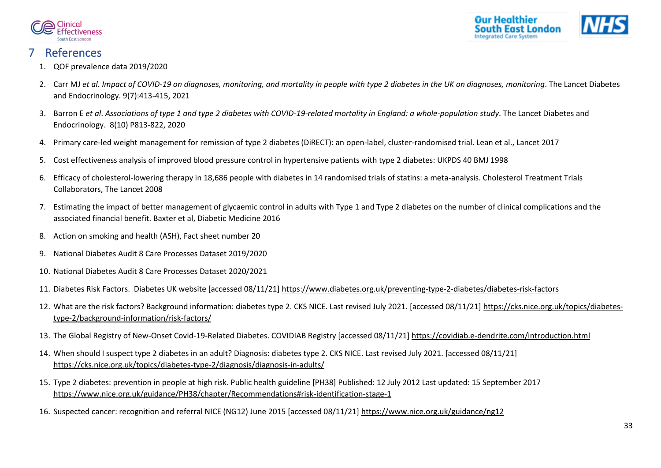![](_page_33_Picture_0.jpeg)

![](_page_33_Picture_1.jpeg)

### <span id="page-33-0"></span>**References**

- <span id="page-33-1"></span>1. QOF prevalence data 2019/2020
- <span id="page-33-2"></span>2. Carr MJ *et al. Impact of COVID-19 on diagnoses, monitoring, and mortality in people with type 2 diabetes in the UK on diagnoses, monitoring*. The Lancet Diabetes and Endocrinology. 9(7):413-415, 2021
- <span id="page-33-3"></span>3. Barron E *et al*. *Associations of type 1 and type 2 diabetes with COVID-19-related mortality in England: a whole-population study*. The Lancet Diabetes and Endocrinology. 8(10) P813-822, 2020
- <span id="page-33-4"></span>4. Primary care-led weight management for remission of type 2 diabetes (DiRECT): an open-label, cluster-randomised trial. Lean et al., Lancet 2017
- <span id="page-33-5"></span>5. Cost effectiveness analysis of improved blood pressure control in hypertensive patients with type 2 diabetes: UKPDS 40 BMJ 1998
- <span id="page-33-6"></span>6. Efficacy of cholesterol-lowering therapy in 18,686 people with diabetes in 14 randomised trials of statins: a meta-analysis. Cholesterol Treatment Trials Collaborators, The Lancet 2008
- <span id="page-33-7"></span>7. Estimating the impact of better management of glycaemic control in adults with Type 1 and Type 2 diabetes on the number of clinical complications and the associated financial benefit. Baxter et al, Diabetic Medicine 2016
- <span id="page-33-8"></span>8. Action on smoking and health (ASH), Fact sheet number 20
- <span id="page-33-9"></span>9. National Diabetes Audit 8 Care Processes Dataset 2019/2020
- <span id="page-33-10"></span>10. National Diabetes Audit 8 Care Processes Dataset 2020/2021
- <span id="page-33-11"></span>11. Diabetes Risk Factors. Diabetes UK website [accessed 08/11/21]<https://www.diabetes.org.uk/preventing-type-2-diabetes/diabetes-risk-factors>
- <span id="page-33-12"></span>12. What are the risk factors? Background information: diabetes type 2. CKS NICE. Last revised July 2021. [accessed 08/11/21] [https://cks.nice.org.uk/topics/diabetes](https://cks.nice.org.uk/topics/diabetes-type-2/background-information/risk-factors/)[type-2/background-information/risk-factors/](https://cks.nice.org.uk/topics/diabetes-type-2/background-information/risk-factors/)
- <span id="page-33-13"></span>13. The Global Registry of New-Onset Covid-19-Related Diabetes. COVIDIAB Registry [accessed 08/11/21]<https://covidiab.e-dendrite.com/introduction.html>
- <span id="page-33-14"></span>14. When should I suspect type 2 diabetes in an adult? Diagnosis: diabetes type 2. CKS NICE. Last revised July 2021. [accessed 08/11/21] <https://cks.nice.org.uk/topics/diabetes-type-2/diagnosis/diagnosis-in-adults/>
- <span id="page-33-15"></span>15. Type 2 diabetes: prevention in people at high risk. Public health guideline [PH38] Published: 12 July 2012 Last updated: 15 September 2017 <https://www.nice.org.uk/guidance/PH38/chapter/Recommendations#risk-identification-stage-1>
- <span id="page-33-16"></span>16. Suspected cancer: recognition and referral NICE (NG12) June 2015 [accessed 08/11/21]<https://www.nice.org.uk/guidance/ng12>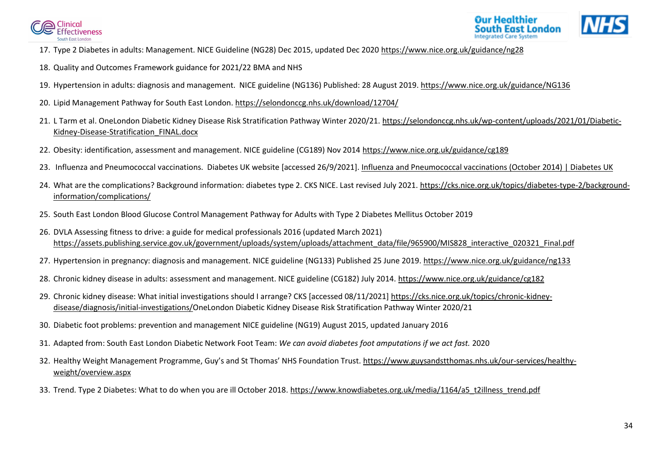![](_page_34_Picture_0.jpeg)

![](_page_34_Picture_1.jpeg)

- <span id="page-34-0"></span>17. Type 2 Diabetes in adults: Management. NICE Guideline (NG28) Dec 2015, updated Dec 2020<https://www.nice.org.uk/guidance/ng28>
- <span id="page-34-1"></span>18. Quality and Outcomes Framework guidance for 2021/22 BMA and NHS
- <span id="page-34-2"></span>19. Hypertension in adults: diagnosis and management. NICE guideline (NG136) Published: 28 August 2019.<https://www.nice.org.uk/guidance/NG136>
- <span id="page-34-3"></span>20. Lipid Management Pathway for South East London[. https://selondonccg.nhs.uk/download/12704/](https://selondonccg.nhs.uk/download/12704/)
- <span id="page-34-4"></span>21. L Tarm et al. OneLondon Diabetic Kidney Disease Risk Stratification Pathway Winter 2020/21. [https://selondonccg.nhs.uk/wp-content/uploads/2021/01/Diabetic-](https://selondonccg.nhs.uk/wp-content/uploads/2021/01/Diabetic-Kidney-Disease-Stratification_FINAL.docx)[Kidney-Disease-Stratification\\_FINAL.docx](https://selondonccg.nhs.uk/wp-content/uploads/2021/01/Diabetic-Kidney-Disease-Stratification_FINAL.docx)
- <span id="page-34-5"></span>22. Obesity: identification, assessment and management. NICE guideline (CG189) Nov 2014<https://www.nice.org.uk/guidance/cg189>
- <span id="page-34-6"></span>23. Influenza and Pneumococcal vaccinations. Diabetes UK website [accessed 26/9/2021]. [Influenza and Pneumococcal vaccinations \(October 2014\) | Diabetes UK](https://www.diabetes.org.uk/professionals/position-statements-reports/diagnosis-ongoing-management-monitoring/influenza-and-pneumococcal-vaccinations)
- <span id="page-34-7"></span>24. What are the complications? Background information: diabetes type 2. CKS NICE. Last revised July 2021. [https://cks.nice.org.uk/topics/diabetes-type-2/background](https://cks.nice.org.uk/topics/diabetes-type-2/background-information/complications/)[information/complications/](https://cks.nice.org.uk/topics/diabetes-type-2/background-information/complications/)
- <span id="page-34-8"></span>25. South East London Blood Glucose Control Management Pathway for Adults with Type 2 Diabetes Mellitus October 2019
- <span id="page-34-9"></span>26. DVLA Assessing fitness to drive: a guide for medical professionals 2016 (updated March 2021) [https://assets.publishing.service.gov.uk/government/uploads/system/uploads/attachment\\_data/file/965900/MIS828\\_interactive\\_020321\\_Final.pdf](https://assets.publishing.service.gov.uk/government/uploads/system/uploads/attachment_data/file/965900/MIS828_interactive_020321_Final.pdf)
- <span id="page-34-10"></span>27. Hypertension in pregnancy: diagnosis and management. NICE guideline (NG133) Published 25 June 2019.<https://www.nice.org.uk/guidance/ng133>
- <span id="page-34-11"></span>28. Chronic kidney disease in adults: assessment and management. NICE guideline (CG182) July 2014.<https://www.nice.org.uk/guidance/cg182>
- <span id="page-34-12"></span>29. Chronic kidney disease: What initial investigations should I arrange? CKS [accessed 08/11/2021] [https://cks.nice.org.uk/topics/chronic-kidney](https://cks.nice.org.uk/topics/chronic-kidney-disease/diagnosis/initial-investigations/)[disease/diagnosis/initial-investigations/O](https://cks.nice.org.uk/topics/chronic-kidney-disease/diagnosis/initial-investigations/)neLondon Diabetic Kidney Disease Risk Stratification Pathway Winter 2020/21
- <span id="page-34-13"></span>30. Diabetic foot problems: prevention and management NICE guideline (NG19) August 2015, updated January 2016
- <span id="page-34-14"></span>31. Adapted from: South East London Diabetic Network Foot Team: *We can avoid diabetes foot amputations if we act fast.* 2020
- <span id="page-34-15"></span>32. Healthy Weight Management Programme, Guy's and St Thomas' NHS Foundation Trust. [https://www.guysandstthomas.nhs.uk/our-services/healthy](https://www.guysandstthomas.nhs.uk/our-services/healthy-weight/overview.aspx)[weight/overview.aspx](https://www.guysandstthomas.nhs.uk/our-services/healthy-weight/overview.aspx)
- <span id="page-34-16"></span>33. Trend. Type 2 Diabetes: What to do when you are ill October 2018[. https://www.knowdiabetes.org.uk/media/1164/a5\\_t2illness\\_trend.pdf](https://www.knowdiabetes.org.uk/media/1164/a5_t2illness_trend.pdf)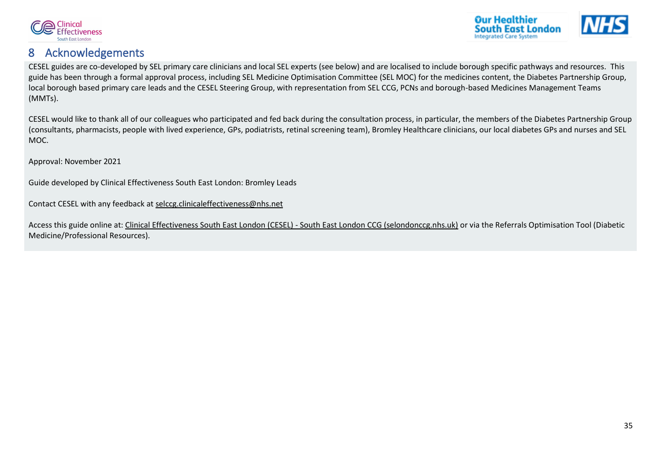![](_page_35_Picture_0.jpeg)

![](_page_35_Picture_1.jpeg)

### <span id="page-35-0"></span>8 Acknowledgements

CESEL guides are co-developed by SEL primary care clinicians and local SEL experts (see below) and are localised to include borough specific pathways and resources. This guide has been through a formal approval process, including SEL Medicine Optimisation Committee (SEL MOC) for the medicines content, the Diabetes Partnership Group, local borough based primary care leads and the CESEL Steering Group, with representation from SEL CCG, PCNs and borough-based Medicines Management Teams (MMTs).

CESEL would like to thank all of our colleagues who participated and fed back during the consultation process, in particular, the members of the Diabetes Partnership Group (consultants, pharmacists, people with lived experience, GPs, podiatrists, retinal screening team), Bromley Healthcare clinicians, our local diabetes GPs and nurses and SEL MOC.

Approval: November 2021

Guide developed by Clinical Effectiveness South East London: Bromley Leads

Contact CESEL with any feedback at [selccg.clinicaleffectiveness@nhs.net](mailto:selccg.clinicaleffectiveness@nhs.net)

Access this guide online at[: Clinical Effectiveness South East London \(CESEL\) -](https://selondonccg.nhs.uk/covid_19/clinical-effectiveness-sel/) South East London CCG (selondonccg.nhs.uk) or via the Referrals Optimisation Tool (Diabetic Medicine/Professional Resources).